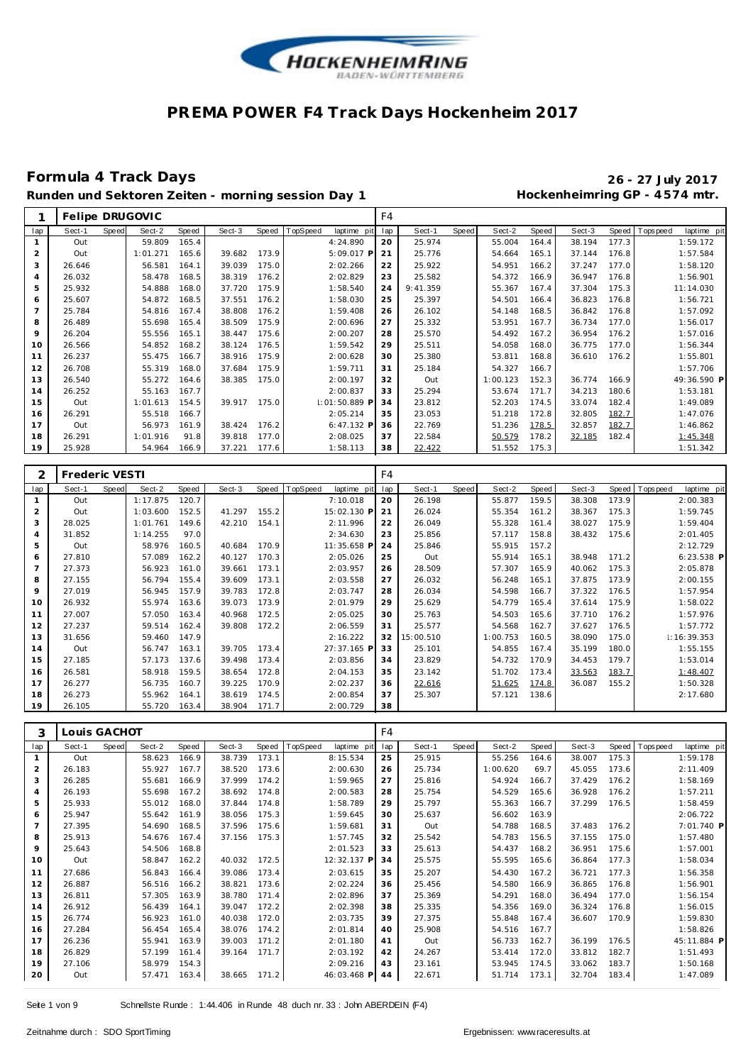

### **Formula 4 Track Days 26 - 27 July 2017**

**Runden und Sektoren Zeiten - morning session Day 1 Hockenheimring GP - 4 574 mtr.**

|                |        |              | Felipe DRUGOVIC |       |        |       |          |                 | F4  |          |       |          |       |        |       |                |             |
|----------------|--------|--------------|-----------------|-------|--------|-------|----------|-----------------|-----|----------|-------|----------|-------|--------|-------|----------------|-------------|
| lap            | Sect-1 | <b>Speed</b> | Sect-2          | Speed | Sect-3 | Speed | TopSpeed | laptime pit     | lap | Sect-1   | Speed | Sect-2   | Speed | Sect-3 |       | Speed Topspeed | laptime pit |
|                | Out    |              | 59.809          | 165.4 |        |       |          | 4:24.890        | 20  | 25.974   |       | 55.004   | 164.4 | 38.194 | 177.3 |                | 1:59.172    |
| $\overline{2}$ | Out    |              | 1:01.271        | 165.6 | 39.682 | 173.9 |          | 5:09.017 P      | 21  | 25.776   |       | 54.664   | 165.1 | 37.144 | 176.8 |                | 1:57.584    |
| 3              | 26.646 |              | 56.581          | 164.1 | 39.039 | 175.0 |          | 2:02.266        | 22  | 25.922   |       | 54.951   | 166.2 | 37.247 | 177.0 |                | 1:58.120    |
| 4              | 26.032 |              | 58.478          | 168.5 | 38.319 | 176.2 |          | 2:02.829        | 23  | 25.582   |       | 54.372   | 166.9 | 36.947 | 176.8 |                | 1:56.901    |
| 5              | 25.932 |              | 54.888          | 168.0 | 37.720 | 175.9 |          | 1:58.540        | 24  | 9:41.359 |       | 55.367   | 167.4 | 37.304 | 175.3 |                | 11:14.030   |
| 6              | 25.607 |              | 54.872          | 168.5 | 37.551 | 176.2 |          | 1:58.030        | 25  | 25.397   |       | 54.501   | 166.4 | 36.823 | 176.8 |                | 1:56.721    |
| 7              | 25.784 |              | 54.816          | 167.4 | 38.808 | 176.2 |          | 1:59.408        | 26  | 26.102   |       | 54.148   | 168.5 | 36.842 | 176.8 |                | 1:57.092    |
| 8              | 26.489 |              | 55.698          | 165.4 | 38.509 | 175.9 |          | 2:00.696        | 27  | 25.332   |       | 53.951   | 167.7 | 36.734 | 177.0 |                | 1:56.017    |
| 9              | 26.204 |              | 55.556          | 165.1 | 38.447 | 175.6 |          | 2:00.207        | 28  | 25.570   |       | 54.492   | 167.2 | 36.954 | 176.2 |                | 1:57.016    |
| 10             | 26.566 |              | 54.852          | 168.2 | 38.124 | 176.5 |          | 1:59.542        | 29  | 25.511   |       | 54.058   | 168.0 | 36.775 | 177.0 |                | 1:56.344    |
| 11             | 26.237 |              | 55.475          | 166.7 | 38.916 | 175.9 |          | 2:00.628        | 30  | 25.380   |       | 53.811   | 168.8 | 36.610 | 176.2 |                | 1:55.801    |
| 12             | 26.708 |              | 55.319          | 168.0 | 37.684 | 175.9 |          | 1:59.711        | 31  | 25.184   |       | 54.327   | 166.7 |        |       |                | 1:57.706    |
| 13             | 26.540 |              | 55.272          | 164.6 | 38.385 | 175.0 |          | 2:00.197        | 32  | Out      |       | 1:00.123 | 152.3 | 36.774 | 166.9 |                | 49:36.590 P |
| 14             | 26.252 |              | 55.163          | 167.7 |        |       |          | 2:00.837        | 33  | 25.294   |       | 53.674   | 171.7 | 34.213 | 180.6 |                | 1:53.181    |
| 15             | Out    |              | 1:01.613        | 154.5 | 39.917 | 175.0 |          | I: 01: 50.889 F | 34  | 23.812   |       | 52.203   | 174.5 | 33.074 | 182.4 |                | 1:49.089    |
| 16             | 26.291 |              | 55.518          | 166.7 |        |       |          | 2:05.214        | 35  | 23.053   |       | 51.218   | 172.8 | 32.805 | 182.7 |                | 1:47.076    |
| 17             | Out    |              | 56.973          | 161.9 | 38.424 | 176.2 |          | 6:47.132 P      | 36  | 22.769   |       | 51.236   | 178.5 | 32.857 | 182.7 |                | 1:46.862    |
| 18             | 26.291 |              | 1:01.916        | 91.8  | 39.818 | 177.0 |          | 2:08.025        | 37  | 22.584   |       | 50.579   | 178.2 | 32.185 | 182.4 |                | 1:45.348    |
| 19             | 25.928 |              | 54.964          | 166.9 | 37.221 | 177.6 |          | 1:58.113        | 38  | 22.422   |       | 51.552   | 175.3 |        |       |                | 1:51.342    |

| 2              | Frederic VESTI |       |          |       |        |       |          |             | F4  |           |       |          |       |        |       |            |                 |
|----------------|----------------|-------|----------|-------|--------|-------|----------|-------------|-----|-----------|-------|----------|-------|--------|-------|------------|-----------------|
| lap            | Sect-1         | Speed | Sect-2   | Speed | Sect-3 | Speed | TopSpeed | laptime pit | lap | Sect-1    | Speed | Sect-2   | Speed | Sect-3 | Speed | T ops peed | laptime pit     |
|                | Out            |       | 1:17.875 | 120.7 |        |       |          | 7:10.018    | 20  | 26.198    |       | 55.877   | 159.5 | 38.308 | 173.9 |            | 2:00.383        |
| $\overline{2}$ | Out            |       | 1:03.600 | 152.5 | 41.297 | 155.2 |          | 15:02.130 P | 21  | 26.024    |       | 55.354   | 161.2 | 38.367 | 175.3 |            | 1:59.745        |
| 3              | 28.025         |       | 1:01.761 | 149.6 | 42.210 | 154.1 |          | 2:11.996    | 22  | 26.049    |       | 55.328   | 161.4 | 38.027 | 175.9 |            | 1:59.404        |
| $\overline{4}$ | 31.852         |       | 1:14.255 | 97.0  |        |       |          | 2:34.630    | 23  | 25.856    |       | 57.117   | 158.8 | 38.432 | 175.6 |            | 2:01.405        |
| 5              | Out            |       | 58.976   | 160.5 | 40.684 | 170.9 |          | 11:35.658 P | 24  | 25.846    |       | 55.915   | 157.2 |        |       |            | 2:12.729        |
| 6              | 27.810         |       | 57.089   | 162.2 | 40.127 | 170.3 |          | 2:05.026    | 25  | Out       |       | 55.914   | 165.1 | 38.948 | 171.2 |            | $6:23.538$ P    |
| 7              | 27.373         |       | 56.923   | 161.0 | 39.661 | 173.1 |          | 2:03.957    | 26  | 28.509    |       | 57.307   | 165.9 | 40.062 | 175.3 |            | 2:05.878        |
| 8              | 27.155         |       | 56.794   | 155.4 | 39.609 | 173.1 |          | 2:03.558    | 27  | 26.032    |       | 56.248   | 165.1 | 37.875 | 173.9 |            | 2:00.155        |
| 9              | 27.019         |       | 56.945   | 157.9 | 39.783 | 172.8 |          | 2:03.747    | 28  | 26.034    |       | 54.598   | 166.7 | 37.322 | 176.5 |            | 1:57.954        |
| 10             | 26.932         |       | 55.974   | 163.6 | 39.073 | 173.9 |          | 2:01.979    | 29  | 25.629    |       | 54.779   | 165.4 | 37.614 | 175.9 |            | 1:58.022        |
| 11             | 27.007         |       | 57.050   | 163.4 | 40.968 | 172.5 |          | 2:05.025    | 30  | 25.763    |       | 54.503   | 165.6 | 37.710 | 176.2 |            | 1:57.976        |
| 12             | 27.237         |       | 59.514   | 162.4 | 39.808 | 172.2 |          | 2:06.559    | 31  | 25.577    |       | 54.568   | 162.7 | 37.627 | 176.5 |            | 1:57.772        |
| 13             | 31.656         |       | 59.460   | 147.9 |        |       |          | 2:16.222    | 32  | 15:00.510 |       | 1:00.753 | 160.5 | 38.090 | 175.0 |            | $\pm 16:39.353$ |
| 14             | Out            |       | 56.747   | 163.1 | 39.705 | 173.4 |          | 27:37.165 P | 33  | 25.101    |       | 54.855   | 167.4 | 35.199 | 180.0 |            | 1:55.155        |
| 15             | 27.185         |       | 57.173   | 137.6 | 39.498 | 173.4 |          | 2:03.856    | 34  | 23.829    |       | 54.732   | 170.9 | 34.453 | 179.7 |            | 1:53.014        |
| 16             | 26.581         |       | 58.918   | 159.5 | 38.654 | 172.8 |          | 2:04.153    | 35  | 23.142    |       | 51.702   | 173.4 | 33.563 | 183.7 |            | 1:48.407        |
| 17             | 26.277         |       | 56.735   | 160.7 | 39.225 | 170.9 |          | 2:02.237    | 36  | 22.616    |       | 51.625   | 174.8 | 36.087 | 155.2 |            | 1:50.328        |
| 18             | 26.273         |       | 55.962   | 164.1 | 38.619 | 174.5 |          | 2:00.854    | 37  | 25.307    |       | 57.121   | 138.6 |        |       |            | 2:17.680        |
| 19             | 26.105         |       | 55.720   | 163.4 | 38.904 | 171.7 |          | 2:00.729    | 38  |           |       |          |       |        |       |            |                 |

| 3              | Louis GACHOT |              |        |       |        |       |          |             | F4  |        |       |          |       |        |       |             |             |  |
|----------------|--------------|--------------|--------|-------|--------|-------|----------|-------------|-----|--------|-------|----------|-------|--------|-------|-------------|-------------|--|
| lap            | Sect-1       | <b>Speed</b> | Sect-2 | Speed | Sect-3 | Speed | TopSpeed | laptime pit | lap | Sect-1 | Speed | Sect-2   | Speed | Sect-3 | Speed | T ops pee d | laptime pit |  |
| $\mathbf{1}$   | Out          |              | 58.623 | 166.9 | 38.739 | 173.1 |          | 8:15.534    | 25  | 25.915 |       | 55.256   | 164.6 | 38.007 | 175.3 |             | 1:59.178    |  |
| 2              | 26.183       |              | 55.927 | 167.7 | 38.520 | 173.6 |          | 2:00.630    | 26  | 25.734 |       | 1:00.620 | 69.7  | 45.055 | 173.6 |             | 2:11.409    |  |
| 3              | 26.285       |              | 55.681 | 166.9 | 37.999 | 174.2 |          | 1:59.965    | 27  | 25.816 |       | 54.924   | 166.7 | 37.429 | 176.2 |             | 1:58.169    |  |
| $\overline{4}$ | 26.193       |              | 55.698 | 167.2 | 38.692 | 174.8 |          | 2:00.583    | 28  | 25.754 |       | 54.529   | 165.6 | 36.928 | 176.2 |             | 1:57.211    |  |
| 5              | 25.933       |              | 55.012 | 168.0 | 37.844 | 174.8 |          | 1:58.789    | 29  | 25.797 |       | 55.363   | 166.7 | 37.299 | 176.5 |             | 1:58.459    |  |
| 6              | 25.947       |              | 55.642 | 161.9 | 38.056 | 175.3 |          | 1:59.645    | 30  | 25.637 |       | 56.602   | 163.9 |        |       |             | 2:06.722    |  |
| $\overline{7}$ | 27.395       |              | 54.690 | 168.5 | 37.596 | 175.6 |          | 1:59.681    | 31  | Out    |       | 54.788   | 168.5 | 37.483 | 176.2 |             | 7:01.740 P  |  |
| 8              | 25.913       |              | 54.676 | 167.4 | 37.156 | 175.3 |          | 1:57.745    | 32  | 25.542 |       | 54.783   | 156.5 | 37.155 | 175.0 |             | 1:57.480    |  |
| 9              | 25.643       |              | 54.506 | 168.8 |        |       |          | 2:01.523    | 33  | 25.613 |       | 54.437   | 168.2 | 36.951 | 175.6 |             | 1:57.001    |  |
| 10             | Out          |              | 58.847 | 162.2 | 40.032 | 172.5 |          | 12:32.137 P | 34  | 25.575 |       | 55.595   | 165.6 | 36.864 | 177.3 |             | 1:58.034    |  |
| 11             | 27.686       |              | 56.843 | 166.4 | 39.086 | 173.4 |          | 2:03.615    | 35  | 25.207 |       | 54.430   | 167.2 | 36.721 | 177.3 |             | 1:56.358    |  |
| 12             | 26.887       |              | 56.516 | 166.2 | 38.821 | 173.6 |          | 2:02.224    | 36  | 25.456 |       | 54.580   | 166.9 | 36.865 | 176.8 |             | 1:56.901    |  |
| 13             | 26.811       |              | 57.305 | 163.9 | 38.780 | 171.4 |          | 2:02.896    | 37  | 25.369 |       | 54.291   | 168.0 | 36.494 | 177.0 |             | 1:56.154    |  |
| 14             | 26.912       |              | 56.439 | 164.1 | 39.047 | 172.2 |          | 2:02.398    | 38  | 25.335 |       | 54.356   | 169.0 | 36.324 | 176.8 |             | 1:56.015    |  |
| 15             | 26.774       |              | 56.923 | 161.0 | 40.038 | 172.0 |          | 2:03.735    | 39  | 27.375 |       | 55.848   | 167.4 | 36.607 | 170.9 |             | 1:59.830    |  |
| 16             | 27.284       |              | 56.454 | 165.4 | 38.076 | 174.2 |          | 2:01.814    | 40  | 25.908 |       | 54.516   | 167.7 |        |       |             | 1:58.826    |  |
| 17             | 26.236       |              | 55.941 | 163.9 | 39.003 | 171.2 |          | 2:01.180    | 41  | Out    |       | 56.733   | 162.7 | 36.199 | 176.5 |             | 45:11.884 P |  |
| 18             | 26.829       |              | 57.199 | 161.4 | 39.164 | 171.7 |          | 2:03.192    | 42  | 24.267 |       | 53.414   | 172.0 | 33.812 | 182.7 |             | 1:51.493    |  |
| 19             | 27.106       |              | 58.979 | 154.3 |        |       |          | 2:09.216    | 43  | 23.161 |       | 53.945   | 174.5 | 33.062 | 183.7 |             | 1:50.168    |  |
| 20             | Out          |              | 57.471 | 163.4 | 38.665 | 171.2 |          | 46:03.468 P | 44  | 22.671 |       | 51.714   | 173.1 | 32.704 | 183.4 |             | 1:47.089    |  |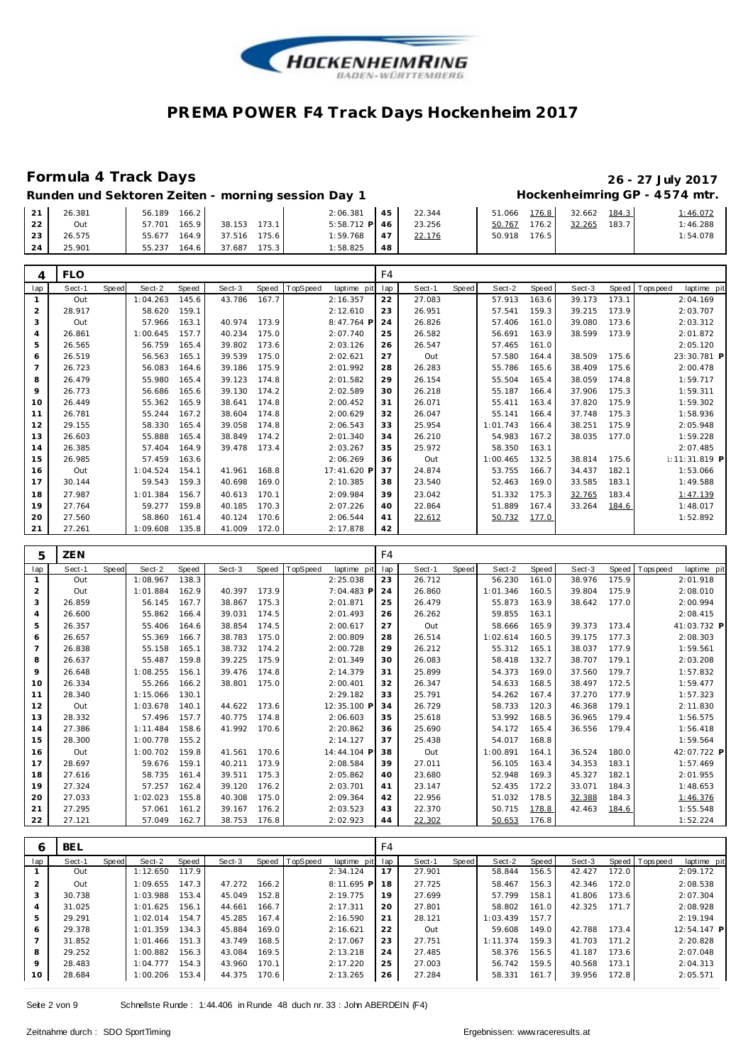

### **Formula 4 Track Days 26 - 27 July 2017**

# **Hockenheimring GP - 4574 mtr.**

| Runden und Sektoren Zeiten - morning session Day 1 |  |  |  |
|----------------------------------------------------|--|--|--|
|                                                    |  |  |  |

| 21<br>22 | 26.381<br>Out | 56.189<br>166.2<br>165.9<br>57.701 | 38.153<br>173.1 | 2:06.381<br>5:58.712 P | 45<br>46 | 22.344<br>23.256 | 51.066<br>50.767 | 176.8<br>176.2 | 32.662<br>32.265 | 184.3<br>183.7 | 1:46.072<br>1:46.288 |
|----------|---------------|------------------------------------|-----------------|------------------------|----------|------------------|------------------|----------------|------------------|----------------|----------------------|
| 23       | 26.575        | 164.9<br>55.677                    | 175.6<br>37.516 | 1:59.768               | 47       | 22.176           | 50.918           | 176.5          |                  |                | 1:54.078             |
| 24       | 25.901        | 55.237<br>164.6                    | 175.3<br>37.687 | 1:58.825               | 48       |                  |                  |                |                  |                |                      |
|          | $F1 \cap$     |                                    |                 |                        |          |                  |                  |                |                  |                |                      |

|                | <b>FLO</b> |              |          |       |        |       |          |             | F4  |        |       |          |       |        |       |                |                 |  |
|----------------|------------|--------------|----------|-------|--------|-------|----------|-------------|-----|--------|-------|----------|-------|--------|-------|----------------|-----------------|--|
| lap            | Sect-1     | <b>Speed</b> | Sect-2   | Speed | Sect-3 | Speed | TopSpeed | laptime pit | lap | Sect-1 | Speed | Sect-2   | Speed | Sect-3 |       | Speed Topspeed | laptime pit     |  |
| $\mathbf{1}$   | Out        |              | 1:04.263 | 145.6 | 43.786 | 167.7 |          | 2:16.357    | 22  | 27.083 |       | 57.913   | 163.6 | 39.173 | 173.1 |                | 2:04.169        |  |
| 2              | 28.917     |              | 58.620   | 159.1 |        |       |          | 2:12.610    | 23  | 26.951 |       | 57.541   | 159.3 | 39.215 | 173.9 |                | 2:03.707        |  |
| 3              | Out        |              | 57.966   | 163.1 | 40.974 | 173.9 |          | 8:47.764 P  | 24  | 26.826 |       | 57.406   | 161.0 | 39.080 | 173.6 |                | 2:03.312        |  |
| $\overline{4}$ | 26.861     |              | 1:00.645 | 157.7 | 40.234 | 175.0 |          | 2:07.740    | 25  | 26.582 |       | 56.691   | 163.9 | 38.599 | 173.9 |                | 2:01.872        |  |
| 5              | 26.565     |              | 56.759   | 165.4 | 39.802 | 173.6 |          | 2:03.126    | 26  | 26.547 |       | 57.465   | 161.0 |        |       |                | 2:05.120        |  |
| 6              | 26.519     |              | 56.563   | 165.1 | 39.539 | 175.0 |          | 2:02.621    | 27  | Out    |       | 57.580   | 164.4 | 38.509 | 175.6 |                | 23:30.781 P     |  |
|                | 26.723     |              | 56.083   | 164.6 | 39.186 | 175.9 |          | 2:01.992    | 28  | 26.283 |       | 55.786   | 165.6 | 38.409 | 175.6 |                | 2:00.478        |  |
| 8              | 26.479     |              | 55.980   | 165.4 | 39.123 | 174.8 |          | 2:01.582    | 29  | 26.154 |       | 55.504   | 165.4 | 38.059 | 174.8 |                | 1:59.717        |  |
| 9              | 26.773     |              | 56.686   | 165.6 | 39.130 | 174.2 |          | 2:02.589    | 30  | 26.218 |       | 55.187   | 166.4 | 37.906 | 175.3 |                | 1:59.311        |  |
| 10             | 26.449     |              | 55.362   | 165.9 | 38.641 | 174.8 |          | 2:00.452    | 31  | 26.071 |       | 55.411   | 163.4 | 37.820 | 175.9 |                | 1:59.302        |  |
| 11             | 26.781     |              | 55.244   | 167.2 | 38.604 | 174.8 |          | 2:00.629    | 32  | 26.047 |       | 55.141   | 166.4 | 37.748 | 175.3 |                | 1:58.936        |  |
| 12             | 29.155     |              | 58.330   | 165.4 | 39.058 | 174.8 |          | 2:06.543    | 33  | 25.954 |       | 1:01.743 | 166.4 | 38.251 | 175.9 |                | 2:05.948        |  |
| 13             | 26.603     |              | 55.888   | 165.4 | 38.849 | 174.2 |          | 2:01.340    | 34  | 26.210 |       | 54.983   | 167.2 | 38.035 | 177.0 |                | 1:59.228        |  |
| 14             | 26.385     |              | 57.404   | 164.9 | 39.478 | 173.4 |          | 2:03.267    | 35  | 25.972 |       | 58.350   | 163.1 |        |       |                | 2:07.485        |  |
| 15             | 26.985     |              | 57.459   | 163.6 |        |       |          | 2:06.269    | 36  | Out    |       | 1:00.465 | 132.5 | 38.814 | 175.6 |                | $1:11:31.819$ P |  |
| 16             | Out        |              | 1:04.524 | 154.1 | 41.961 | 168.8 |          | 17:41.620 P | 37  | 24.874 |       | 53.755   | 166.7 | 34.437 | 182.1 |                | 1:53.066        |  |
| 17             | 30.144     |              | 59.543   | 159.3 | 40.698 | 169.0 |          | 2:10.385    | 38  | 23.540 |       | 52.463   | 169.0 | 33.585 | 183.1 |                | 1:49.588        |  |
| 18             | 27.987     |              | 1:01.384 | 156.7 | 40.613 | 170.1 |          | 2:09.984    | 39  | 23.042 |       | 51.332   | 175.3 | 32.765 | 183.4 |                | 1:47.139        |  |
| 19             | 27.764     |              | 59.277   | 159.8 | 40.185 | 170.3 |          | 2:07.226    | 40  | 22.864 |       | 51.889   | 167.4 | 33.264 | 184.6 |                | 1:48.017        |  |
| 20             | 27.560     |              | 58.860   | 161.4 | 40.124 | 170.6 |          | 2:06.544    | 41  | 22.612 |       | 50.732   | 177.0 |        |       |                | 1:52.892        |  |
| 21             | 27.261     |              | 1:09.608 | 135.8 | 41.009 | 172.0 |          | 2:17.878    | 42  |        |       |          |       |        |       |                |                 |  |

| 5               | ZEN    |              |          |       |        |       |          |             | F4  |        |       |          |       |        |       |             |             |  |
|-----------------|--------|--------------|----------|-------|--------|-------|----------|-------------|-----|--------|-------|----------|-------|--------|-------|-------------|-------------|--|
| lap             | Sect-1 | <b>Speed</b> | Sect-2   | Speed | Sect-3 | Speed | TopSpeed | laptime pit | lap | Sect-1 | Speed | Sect-2   | Speed | Sect-3 | Speed | T ops pee d | laptime pit |  |
|                 | Out    |              | 1:08.967 | 138.3 |        |       |          | 2:25.038    | 23  | 26.712 |       | 56.230   | 161.0 | 38.976 | 175.9 |             | 2:01.918    |  |
| 2               | Out    |              | 1:01.884 | 162.9 | 40.397 | 173.9 |          | 7:04.483 F  | 24  | 26.860 |       | 1:01.346 | 160.5 | 39.804 | 175.9 |             | 2:08.010    |  |
| 3               | 26.859 |              | 56.145   | 167.7 | 38.867 | 175.3 |          | 2:01.871    | 25  | 26.479 |       | 55.873   | 163.9 | 38.642 | 177.0 |             | 2:00.994    |  |
| 4               | 26.600 |              | 55.862   | 166.4 | 39.031 | 174.5 |          | 2:01.493    | 26  | 26.262 |       | 59.855   | 163.1 |        |       |             | 2:08.415    |  |
| 5               | 26.357 |              | 55.406   | 164.6 | 38.854 | 174.5 |          | 2:00.617    | 27  | Out    |       | 58.666   | 165.9 | 39.373 | 173.4 |             | 41:03.732 P |  |
| 6               | 26.657 |              | 55.369   | 166.7 | 38.783 | 175.0 |          | 2:00.809    | 28  | 26.514 |       | 1:02.614 | 160.5 | 39.175 | 177.3 |             | 2:08.303    |  |
| 7               | 26.838 |              | 55.158   | 165.1 | 38.732 | 174.2 |          | 2:00.728    | 29  | 26.212 |       | 55.312   | 165.1 | 38.037 | 177.9 |             | 1:59.561    |  |
| 8               | 26.637 |              | 55.487   | 159.8 | 39.225 | 175.9 |          | 2:01.349    | 30  | 26.083 |       | 58.418   | 132.7 | 38.707 | 179.1 |             | 2:03.208    |  |
| 9               | 26.648 |              | 1:08.255 | 156.1 | 39.476 | 174.8 |          | 2:14.379    | 31  | 25.899 |       | 54.373   | 169.0 | 37.560 | 179.7 |             | 1:57.832    |  |
| 10 <sup>°</sup> | 26.334 |              | 55.266   | 166.2 | 38.801 | 175.0 |          | 2:00.401    | 32  | 26.347 |       | 54.633   | 168.5 | 38.497 | 172.5 |             | 1:59.477    |  |
| 11              | 28.340 |              | 1:15.066 | 130.1 |        |       |          | 2:29.182    | 33  | 25.791 |       | 54.262   | 167.4 | 37.270 | 177.9 |             | 1:57.323    |  |
| 12              | Out    |              | 1:03.678 | 140.1 | 44.622 | 173.6 |          | 12:35.100 P | 34  | 26.729 |       | 58.733   | 120.3 | 46.368 | 179.1 |             | 2:11.830    |  |
| 13              | 28.332 |              | 57.496   | 157.7 | 40.775 | 174.8 |          | 2:06.603    | 35  | 25.618 |       | 53.992   | 168.5 | 36.965 | 179.4 |             | 1:56.575    |  |
| 14              | 27.386 |              | 1:11.484 | 158.6 | 41.992 | 170.6 |          | 2:20.862    | 36  | 25.690 |       | 54.172   | 165.4 | 36.556 | 179.4 |             | 1:56.418    |  |
| 15              | 28.300 |              | 1:00.778 | 155.2 |        |       |          | 2:14.127    | 37  | 25.438 |       | 54.017   | 168.8 |        |       |             | 1:59.564    |  |
| 16              | Out    |              | 1:00.702 | 159.8 | 41.561 | 170.6 |          | 14:44.104 P | 38  | Out    |       | 1:00.891 | 164.1 | 36.524 | 180.0 |             | 42:07.722 P |  |
| 17              | 28.697 |              | 59.676   | 159.1 | 40.211 | 173.9 |          | 2:08.584    | 39  | 27.011 |       | 56.105   | 163.4 | 34.353 | 183.1 |             | 1:57.469    |  |
| 18              | 27.616 |              | 58.735   | 161.4 | 39.511 | 175.3 |          | 2:05.862    | 40  | 23.680 |       | 52.948   | 169.3 | 45.327 | 182.1 |             | 2:01.955    |  |
| 19              | 27.324 |              | 57.257   | 162.4 | 39.120 | 176.2 |          | 2:03.701    | 41  | 23.147 |       | 52.435   | 172.2 | 33.071 | 184.3 |             | 1:48.653    |  |
| 20              | 27.033 |              | 1:02.023 | 155.8 | 40.308 | 175.0 |          | 2:09.364    | 42  | 22.956 |       | 51.032   | 178.5 | 32.388 | 184.3 |             | 1:46.376    |  |
| 21              | 27.295 |              | 57.061   | 161.2 | 39.167 | 176.2 |          | 2:03.523    | 43  | 22.370 |       | 50.715   | 178.8 | 42.463 | 184.6 |             | 1:55.548    |  |
| 22              | 27.121 |              | 57.049   | 162.7 | 38.753 | 176.8 |          | 2:02.923    | 44  | 22.302 |       | 50.653   | 176.8 |        |       |             | 1:52.224    |  |

| Ô              | BEL    |       |          |       |        |       |                |             | F4  |        |         |          |       |        |       |                 |             |
|----------------|--------|-------|----------|-------|--------|-------|----------------|-------------|-----|--------|---------|----------|-------|--------|-------|-----------------|-------------|
| lap            | Sect-1 | Speed | Sect-2   | Speed | Sect-3 |       | Speed TopSpeed | laptime pit | lap | Sect-1 | Speed I | Sect-2   | Speed | Sect-3 |       | Speed Tops peed | laptime pit |
|                | Out    |       | 1:12.650 | 117.9 |        |       |                | 2:34.124    | 17  | 27.901 |         | 58.844   | 156.5 | 42.427 | 172.0 |                 | 2:09.172    |
| 2              | Out    |       | 1:09.655 | 147.3 | 47.272 | 166.2 |                | 8:11.695 P  | 18  | 27.725 |         | 58.467   | 156.3 | 42.346 | 172.0 |                 | 2:08.538    |
| 3              | 30.738 |       | 1:03.988 | 153.4 | 45.049 | 152.8 |                | 2:19.775    | 19  | 27.699 |         | 57.799   | 158.1 | 41.806 | 173.6 |                 | 2:07.304    |
| $\overline{4}$ | 31.025 |       | 1:01.625 | 156.1 | 44.661 | 166.7 |                | 2:17.311    | 20  | 27.801 |         | 58.802   | 161.0 | 42.325 | 171.7 |                 | 2:08.928    |
| 5              | 29.291 |       | 1:02.014 | 154.7 | 45.285 | 167.4 |                | 2:16.590    | 21  | 28.121 |         | 1:03.439 | 157.7 |        |       |                 | 2:19.194    |
| 6              | 29.378 |       | 1:01.359 | 134.3 | 45.884 | 169.0 |                | 2:16.621    | 22  | Out    |         | 59.608   | 149.0 | 42.788 | 173.4 |                 | 12:54.147 P |
|                | 31.852 |       | 1:01.466 | 151.3 | 43.749 | 168.5 |                | 2:17.067    | 23  | 27.751 |         | 1:11.374 | 159.3 | 41.703 | 171.2 |                 | 2:20.828    |
| 8              | 29.252 |       | 1:00.882 | 156.3 | 43.084 | 169.5 |                | 2:13.218    | 24  | 27.485 |         | 58.376   | 156.5 | 41.187 | 173.6 |                 | 2:07.048    |
| 9              | 28.483 |       | 1:04.777 | 154.3 | 43.960 | 170.1 |                | 2:17.220    | 25  | 27.003 |         | 56.742   | 159.5 | 40.568 | 173.1 |                 | 2:04.313    |
| 10             | 28.684 |       | 1:00.206 | 153.4 | 44.375 | 170.6 |                | 2:13.265    | 26  | 27.284 |         | 58.331   | 161.7 | 39.956 | 172.8 |                 | 2:05.571    |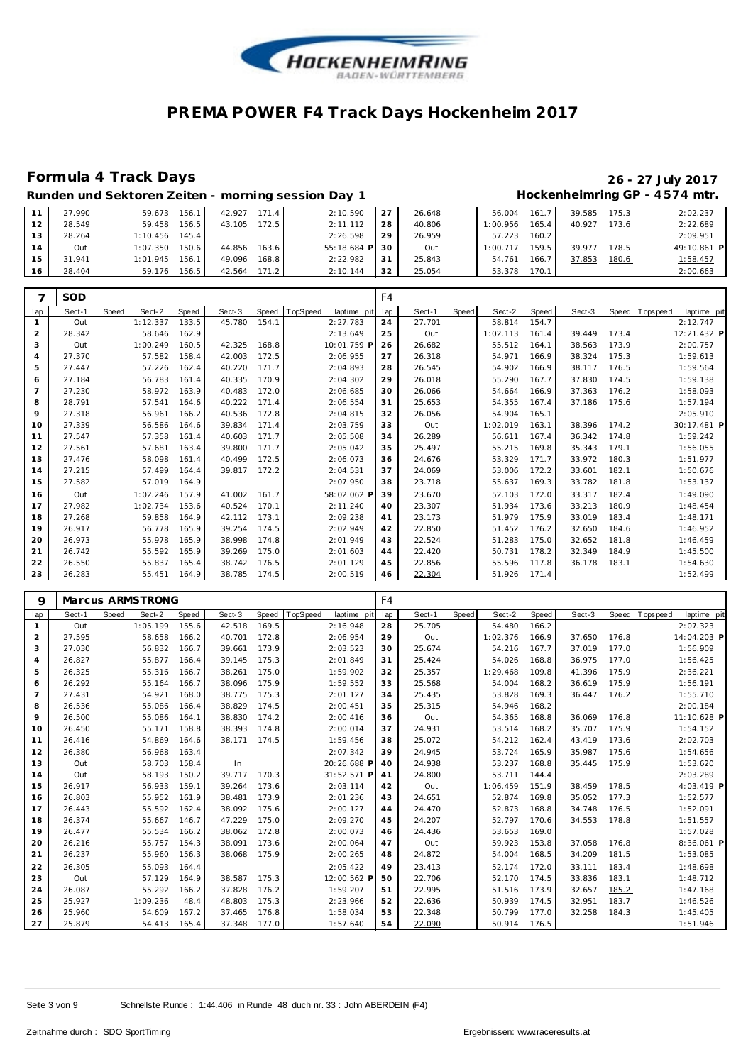

#### **Formula 4 Track Days 26 - 27 July 2017** Hockenheimring GP - 4574 mtr.

| Runden und Sektoren Zeiten - morning session Day 1 |  |  |  |
|----------------------------------------------------|--|--|--|

|    | 27.990 | 156.<br>59.673    | 42.927<br>171.4 | 2:10.590  | 27 | 26.648 | 56.004   | 161   | 39.585 | 175.3     | 2:02.237    |
|----|--------|-------------------|-----------------|-----------|----|--------|----------|-------|--------|-----------|-------------|
| 12 | 28.549 | 156.5<br>59.458   | 172.5<br>43.105 | 2:11.112  | 28 | 40.806 | 1:00.956 | 165.4 | 40.927 | $173.6$ I | 2:22.689    |
| 13 | 28.264 | 145.4<br>1:10.456 |                 | 2:26.598  | 29 | 26.959 | 57.223   | 160.2 |        |           | 2:09.951    |
| 14 | Out    | 150.6<br>1:07.350 | 163.6<br>44.856 | 55:18.684 | 30 | Out    | 1:00.717 | 159.5 | 39.977 | 178.5     | 49:10.861 P |
| 15 | 31.941 | 1:01.945<br>156.  | 168.8<br>49.096 | 2:22.982  | 31 | 25.843 | 54.761   | 166   | 37.853 | 180.6     | 1:58.457    |
| 16 | 28.404 | 156.5<br>59.176   | 171.2<br>42.564 | 2:10.144  | 32 | 25.054 | 53.378   | 170.1 |        |           | 2:00.663    |

|                | <b>SOD</b> |       |          |       |        |       |                         | F4  |        |       |          |       |        |       |                           |
|----------------|------------|-------|----------|-------|--------|-------|-------------------------|-----|--------|-------|----------|-------|--------|-------|---------------------------|
| lap            | Sect-1     | Speed | Sect-2   | Speed | Sect-3 | Speed | TopSpeed<br>laptime pit | lap | Sect-1 | Speed | Sect-2   | Speed | Sect-3 | Speed | laptime pit<br>T ops peed |
|                | Out        |       | 1:12.337 | 133.5 | 45.780 | 154.1 | 2:27.783                | 24  | 27.701 |       | 58.814   | 154.7 |        |       | 2:12.747                  |
| 2              | 28.342     |       | 58.646   | 162.9 |        |       | 2:13.649                | 25  | Out    |       | 1:02.113 | 161.4 | 39.449 | 173.4 | 12:21.432 P               |
| 3              | Out        |       | 1:00.249 | 160.5 | 42.325 | 168.8 | 10:01.759 F             | 26  | 26.682 |       | 55.512   | 164.1 | 38.563 | 173.9 | 2:00.757                  |
| $\overline{4}$ | 27.370     |       | 57.582   | 158.4 | 42.003 | 172.5 | 2:06.955                | 27  | 26.318 |       | 54.971   | 166.9 | 38.324 | 175.3 | 1:59.613                  |
| 5              | 27.447     |       | 57.226   | 162.4 | 40.220 | 171.7 | 2:04.893                | 28  | 26.545 |       | 54.902   | 166.9 | 38.117 | 176.5 | 1:59.564                  |
| 6              | 27.184     |       | 56.783   | 161.4 | 40.335 | 170.9 | 2:04.302                | 29  | 26.018 |       | 55.290   | 167.7 | 37.830 | 174.5 | 1:59.138                  |
| $\overline{7}$ | 27.230     |       | 58.972   | 163.9 | 40.483 | 172.0 | 2:06.685                | 30  | 26.066 |       | 54.664   | 166.9 | 37.363 | 176.2 | 1:58.093                  |
| 8              | 28.791     |       | 57.541   | 164.6 | 40.222 | 171.4 | 2:06.554                | 31  | 25.653 |       | 54.355   | 167.4 | 37.186 | 175.6 | 1:57.194                  |
| 9              | 27.318     |       | 56.961   | 166.2 | 40.536 | 172.8 | 2:04.815                | 32  | 26.056 |       | 54.904   | 165.1 |        |       | 2:05.910                  |
| 10             | 27.339     |       | 56.586   | 164.6 | 39.834 | 171.4 | 2:03.759                | 33  | Out    |       | 1:02.019 | 163.1 | 38.396 | 174.2 | 30:17.481 P               |
| 11             | 27.547     |       | 57.358   | 161.4 | 40.603 | 171.7 | 2:05.508                | 34  | 26.289 |       | 56.611   | 167.4 | 36.342 | 174.8 | 1:59.242                  |
| 12             | 27.561     |       | 57.681   | 163.4 | 39.800 | 171.7 | 2:05.042                | 35  | 25.497 |       | 55.215   | 169.8 | 35.343 | 179.1 | 1:56.055                  |
| 13             | 27.476     |       | 58.098   | 161.4 | 40.499 | 172.5 | 2:06.073                | 36  | 24.676 |       | 53.329   | 171.7 | 33.972 | 180.3 | 1:51.977                  |
| 14             | 27.215     |       | 57.499   | 164.4 | 39.817 | 172.2 | 2:04.531                | 37  | 24.069 |       | 53.006   | 172.2 | 33.601 | 182.1 | 1:50.676                  |
| 15             | 27.582     |       | 57.019   | 164.9 |        |       | 2:07.950                | 38  | 23.718 |       | 55.637   | 169.3 | 33.782 | 181.8 | 1:53.137                  |
| 16             | Out        |       | 1:02.246 | 157.9 | 41.002 | 161.7 | 58:02.062 F             | 39  | 23.670 |       | 52.103   | 172.0 | 33.317 | 182.4 | 1:49.090                  |
| 17             | 27.982     |       | 1:02.734 | 153.6 | 40.524 | 170.1 | 2:11.240                | 40  | 23.307 |       | 51.934   | 173.6 | 33.213 | 180.9 | 1:48.454                  |
| 18             | 27.268     |       | 59.858   | 164.9 | 42.112 | 173.1 | 2:09.238                | 41  | 23.173 |       | 51.979   | 175.9 | 33.019 | 183.4 | 1:48.171                  |
| 19             | 26.917     |       | 56.778   | 165.9 | 39.254 | 174.5 | 2:02.949                | 42  | 22.850 |       | 51.452   | 176.2 | 32.650 | 184.6 | 1:46.952                  |
| 20             | 26.973     |       | 55.978   | 165.9 | 38.998 | 174.8 | 2:01.949                | 43  | 22.524 |       | 51.283   | 175.0 | 32.652 | 181.8 | 1:46.459                  |
| 21             | 26.742     |       | 55.592   | 165.9 | 39.269 | 175.0 | 2:01.603                | 44  | 22.420 |       | 50.731   | 178.2 | 32.349 | 184.9 | 1:45.500                  |
| 22             | 26.550     |       | 55.837   | 165.4 | 38.742 | 176.5 | 2:01.129                | 45  | 22.856 |       | 55.596   | 117.8 | 36.178 | 183.1 | 1:54.630                  |
| 23             | 26.283     |       | 55.451   | 164.9 | 38.785 | 174.5 | 2:00.519                | 46  | 22.304 |       | 51.926   | 171.4 |        |       | 1:52.499                  |

| 9              |        |       | Marcus ARMSTRONG |       |        |       |                         | F4  |        |       |          |       |        |       |                            |
|----------------|--------|-------|------------------|-------|--------|-------|-------------------------|-----|--------|-------|----------|-------|--------|-------|----------------------------|
| lap            | Sect-1 | Speed | Sect-2           | Speed | Sect-3 | Speed | TopSpeed<br>laptime pit | lap | Sect-1 | Speed | Sect-2   | Speed | Sect-3 | Speed | T ops pee d<br>laptime pit |
| 1              | Out    |       | 1:05.199         | 155.6 | 42.518 | 169.5 | 2:16.948                | 28  | 25.705 |       | 54.480   | 166.2 |        |       | 2:07.323                   |
| 2              | 27.595 |       | 58.658           | 166.2 | 40.701 | 172.8 | 2:06.954                | 29  | Out    |       | 1:02.376 | 166.9 | 37.650 | 176.8 | 14:04.203 P                |
| 3              | 27.030 |       | 56.832           | 166.7 | 39.661 | 173.9 | 2:03.523                | 30  | 25.674 |       | 54.216   | 167.7 | 37.019 | 177.0 | 1:56.909                   |
| 4              | 26.827 |       | 55.877           | 166.4 | 39.145 | 175.3 | 2:01.849                | 31  | 25.424 |       | 54.026   | 168.8 | 36.975 | 177.0 | 1:56.425                   |
| 5              | 26.325 |       | 55.316           | 166.7 | 38.261 | 175.0 | 1:59.902                | 32  | 25.357 |       | 1:29.468 | 109.8 | 41.396 | 175.9 | 2:36.221                   |
| 6              | 26.292 |       | 55.164           | 166.7 | 38.096 | 175.9 | 1:59.552                | 33  | 25.568 |       | 54.004   | 168.2 | 36.619 | 175.9 | 1:56.191                   |
| $\overline{7}$ | 27.431 |       | 54.921           | 168.0 | 38.775 | 175.3 | 2:01.127                | 34  | 25.435 |       | 53.828   | 169.3 | 36.447 | 176.2 | 1:55.710                   |
| 8              | 26.536 |       | 55.086           | 166.4 | 38.829 | 174.5 | 2:00.451                | 35  | 25.315 |       | 54.946   | 168.2 |        |       | 2:00.184                   |
| 9              | 26.500 |       | 55.086           | 164.1 | 38.830 | 174.2 | 2:00.416                | 36  | Out    |       | 54.365   | 168.8 | 36.069 | 176.8 | 11:10.628 P                |
| 10             | 26.450 |       | 55.171           | 158.8 | 38.393 | 174.8 | 2:00.014                | 37  | 24.931 |       | 53.514   | 168.2 | 35.707 | 175.9 | 1:54.152                   |
| 11             | 26.416 |       | 54.869           | 164.6 | 38.171 | 174.5 | 1:59.456                | 38  | 25.072 |       | 54.212   | 162.4 | 43.419 | 173.6 | 2:02.703                   |
| 12             | 26.380 |       | 56.968           | 163.4 |        |       | 2:07.342                | 39  | 24.945 |       | 53.724   | 165.9 | 35.987 | 175.6 | 1:54.656                   |
| 13             | Out    |       | 58.703           | 158.4 | In     |       | 20:26.688 P             | 40  | 24.938 |       | 53.237   | 168.8 | 35.445 | 175.9 | 1:53.620                   |
| 14             | Out    |       | 58.193           | 150.2 | 39.717 | 170.3 | 31:52.571 P             | 41  | 24.800 |       | 53.711   | 144.4 |        |       | 2:03.289                   |
| 15             | 26.917 |       | 56.933           | 159.1 | 39.264 | 173.6 | 2:03.114                | 42  | Out    |       | 1:06.459 | 151.9 | 38.459 | 178.5 | 4:03.419 P                 |
| 16             | 26.803 |       | 55.952           | 161.9 | 38.481 | 173.9 | 2:01.236                | 43  | 24.651 |       | 52.874   | 169.8 | 35.052 | 177.3 | 1:52.577                   |
| 17             | 26.443 |       | 55.592           | 162.4 | 38.092 | 175.6 | 2:00.127                | 44  | 24.470 |       | 52.873   | 168.8 | 34.748 | 176.5 | 1:52.091                   |
| 18             | 26.374 |       | 55.667           | 146.7 | 47.229 | 175.0 | 2:09.270                | 45  | 24.207 |       | 52.797   | 170.6 | 34.553 | 178.8 | 1:51.557                   |
| 19             | 26.477 |       | 55.534           | 166.2 | 38.062 | 172.8 | 2:00.073                | 46  | 24.436 |       | 53.653   | 169.0 |        |       | 1:57.028                   |
| 20             | 26.216 |       | 55.757           | 154.3 | 38.091 | 173.6 | 2:00.064                | 47  | Out    |       | 59.923   | 153.8 | 37.058 | 176.8 | 8:36.061 P                 |
| 21             | 26.237 |       | 55.960           | 156.3 | 38.068 | 175.9 | 2:00.265                | 48  | 24.872 |       | 54.004   | 168.5 | 34.209 | 181.5 | 1:53.085                   |
| 22             | 26.305 |       | 55.093           | 164.4 |        |       | 2:05.422                | 49  | 23.413 |       | 52.174   | 172.0 | 33.111 | 183.4 | 1:48.698                   |
| 23             | Out    |       | 57.129           | 164.9 | 38.587 | 175.3 | 12:00.562 P             | 50  | 22.706 |       | 52.170   | 174.5 | 33.836 | 183.1 | 1:48.712                   |
| 24             | 26.087 |       | 55.292           | 166.2 | 37.828 | 176.2 | 1:59.207                | 51  | 22.995 |       | 51.516   | 173.9 | 32.657 | 185.2 | 1:47.168                   |
| 25             | 25.927 |       | 1:09.236         | 48.4  | 48.803 | 175.3 | 2:23.966                | 52  | 22.636 |       | 50.939   | 174.5 | 32.951 | 183.7 | 1:46.526                   |
| 26             | 25.960 |       | 54.609           | 167.2 | 37.465 | 176.8 | 1:58.034                | 53  | 22.348 |       | 50.799   | 177.0 | 32.258 | 184.3 | 1:45.405                   |
| 27             | 25.879 |       | 54.413           | 165.4 | 37.348 | 177.0 | 1:57.640                | 54  | 22.090 |       | 50.914   | 176.5 |        |       | 1:51.946                   |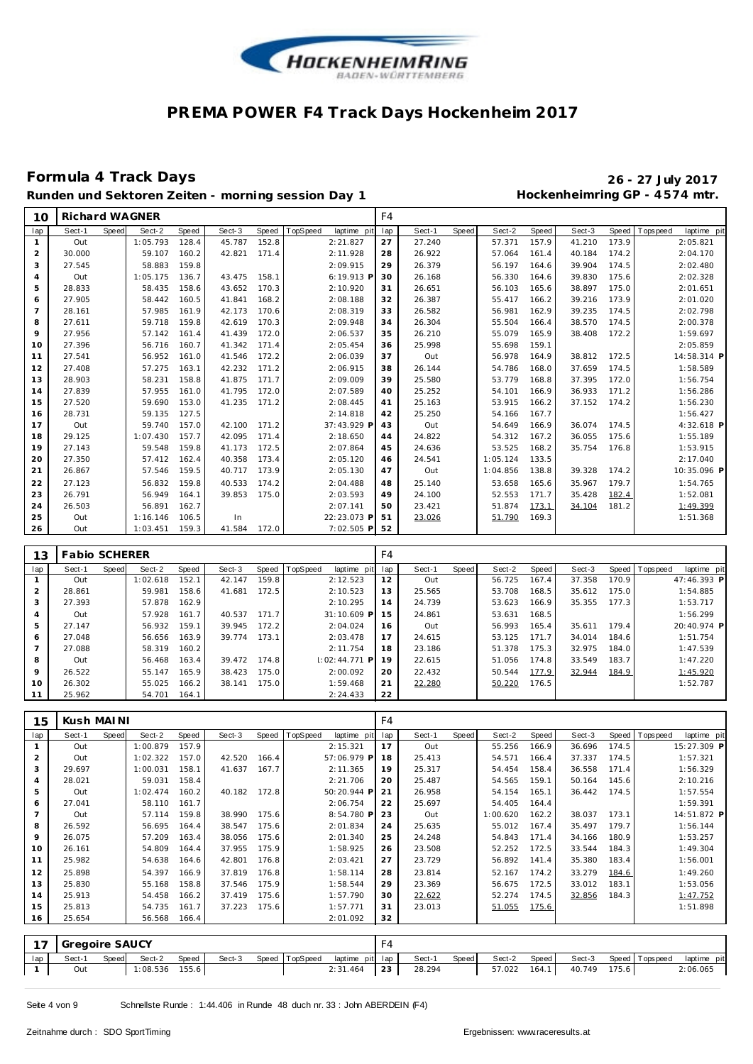

# **Formula 4 Track Days 26 - 27 July 2017**

**Runden und Sektoren Zeiten - morning session Day 1 Hockenheimring GP - 4 574 mtr.**

| 10             | <b>Richard WAGNER</b> |       |          |       |              |       |          |                 | F4             |        |              |          |       |        |       |                               |
|----------------|-----------------------|-------|----------|-------|--------------|-------|----------|-----------------|----------------|--------|--------------|----------|-------|--------|-------|-------------------------------|
| lap            | Sect-1                | Speed | Sect-2   | Speed | Sect-3       | Speed | TopSpeed | laptime pit     | lap            | Sect-1 | <b>Speed</b> | Sect-2   | Speed | Sect-3 |       | Speed Topspeed<br>laptime pit |
| $\mathbf{1}$   | Out                   |       | 1:05.793 | 128.4 | 45.787       | 152.8 |          | 2:21.827        | 27             | 27.240 |              | 57.371   | 157.9 | 41.210 | 173.9 | 2:05.821                      |
| $\overline{2}$ | 30.000                |       | 59.107   | 160.2 | 42.821       | 171.4 |          | 2:11.928        | 28             | 26.922 |              | 57.064   | 161.4 | 40.184 | 174.2 | 2:04.170                      |
| 3              | 27.545                |       | 58.883   | 159.8 |              |       |          | 2:09.915        | 29             | 26.379 |              | 56.197   | 164.6 | 39.904 | 174.5 | 2:02.480                      |
| $\overline{4}$ | Out                   |       | 1:05.175 | 136.7 | 43.475       | 158.1 |          | 6:19.913 P      | 30             | 26.168 |              | 56.330   | 164.6 | 39.830 | 175.6 | 2:02.328                      |
| 5              | 28.833                |       | 58.435   | 158.6 | 43.652       | 170.3 |          | 2:10.920        | 31             | 26.651 |              | 56.103   | 165.6 | 38.897 | 175.0 | 2:01.651                      |
| 6              | 27.905                |       | 58.442   | 160.5 | 41.841       | 168.2 |          | 2:08.188        | 32             | 26.387 |              | 55.417   | 166.2 | 39.216 | 173.9 | 2:01.020                      |
| $\overline{7}$ | 28.161                |       | 57.985   | 161.9 | 42.173       | 170.6 |          | 2:08.319        | 33             | 26.582 |              | 56.981   | 162.9 | 39.235 | 174.5 | 2:02.798                      |
| 8              | 27.611                |       | 59.718   | 159.8 | 42.619       | 170.3 |          | 2:09.948        | 34             | 26.304 |              | 55.504   | 166.4 | 38.570 | 174.5 | 2:00.378                      |
| 9              | 27.956                |       | 57.142   | 161.4 | 41.439       | 172.0 |          | 2:06.537        | 35             | 26.210 |              | 55.079   | 165.9 | 38.408 | 172.2 | 1:59.697                      |
| 10             | 27.396                |       | 56.716   | 160.7 | 41.342       | 171.4 |          | 2:05.454        | 36             | 25.998 |              | 55.698   | 159.1 |        |       | 2:05.859                      |
| 11             | 27.541                |       | 56.952   | 161.0 | 41.546       | 172.2 |          | 2:06.039        | 37             | Out    |              | 56.978   | 164.9 | 38.812 | 172.5 | 14:58.314 P                   |
| 12             | 27.408                |       | 57.275   | 163.1 | 42.232       | 171.2 |          | 2:06.915        | 38             | 26.144 |              | 54.786   | 168.0 | 37.659 | 174.5 | 1:58.589                      |
| 13             | 28.903                |       | 58.231   | 158.8 | 41.875       | 171.7 |          | 2:09.009        | 39             | 25.580 |              | 53.779   | 168.8 | 37.395 | 172.0 | 1:56.754                      |
| 14             | 27.839                |       | 57.955   | 161.0 | 41.795       | 172.0 |          | 2:07.589        | 40             | 25.252 |              | 54.101   | 166.9 | 36.933 | 171.2 | 1:56.286                      |
| 15             | 27.520                |       | 59.690   | 153.0 | 41.235       | 171.2 |          | 2:08.445        | 41             | 25.163 |              | 53.915   | 166.2 | 37.152 | 174.2 | 1:56.230                      |
| 16             | 28.731                |       | 59.135   | 127.5 |              |       |          | 2:14.818        | 42             | 25.250 |              | 54.166   | 167.7 |        |       | 1:56.427                      |
| 17             | Out                   |       | 59.740   | 157.0 | 42.100       | 171.2 |          | 37:43.929 P     | 43             | Out    |              | 54.649   | 166.9 | 36.074 | 174.5 | 4:32.618 P                    |
| 18             | 29.125                |       | 1:07.430 | 157.7 | 42.095       | 171.4 |          | 2:18.650        | 44             | 24.822 |              | 54.312   | 167.2 | 36.055 | 175.6 | 1:55.189                      |
| 19             | 27.143                |       | 59.548   | 159.8 | 41.173       | 172.5 |          | 2:07.864        | 45             | 24.636 |              | 53.525   | 168.2 | 35.754 | 176.8 | 1:53.915                      |
| 20             | 27.350                |       | 57.412   | 162.4 | 40.358       | 173.4 |          | 2:05.120        | 46             | 24.541 |              | 1:05.124 | 133.5 |        |       | 2:17.040                      |
| 21             | 26.867                |       | 57.546   | 159.5 | 40.717       | 173.9 |          | 2:05.130        | 47             | Out    |              | 1:04.856 | 138.8 | 39.328 | 174.2 | 10:35.096 P                   |
| 22             | 27.123                |       | 56.832   | 159.8 | 40.533       | 174.2 |          | 2:04.488        | 48             | 25.140 |              | 53.658   | 165.6 | 35.967 | 179.7 | 1:54.765                      |
| 23             | 26.791                |       | 56.949   | 164.1 | 39.853       | 175.0 |          | 2:03.593        | 49             | 24.100 |              | 52.553   | 171.7 | 35.428 | 182.4 | 1:52.081                      |
| 24             | 26.503                |       | 56.891   | 162.7 |              |       |          | 2:07.141        | 50             | 23.421 |              | 51.874   | 173.1 | 34.104 | 181.2 | 1:49.399                      |
| 25             | Out                   |       | 1:16.146 | 106.5 | In           |       |          | 22:23.073 P     | 51             | 23.026 |              | 51.790   | 169.3 |        |       | 1:51.368                      |
| 26             | Out                   |       | 1:03.451 | 159.3 | 41.584       | 172.0 |          | 7:02.505 P      | 52             |        |              |          |       |        |       |                               |
|                |                       |       |          |       |              |       |          |                 |                |        |              |          |       |        |       |                               |
| 13             | <b>Fabio SCHERER</b>  |       |          |       |              |       |          |                 | F <sub>4</sub> |        |              |          |       |        |       |                               |
| lap            | Sect-1                | Speed | Sect-2   | Speed | Sect-3       | Speed | TopSpeed | laptime pit     | lap            | Sect-1 | Speed        | Sect-2   | Speed | Sect-3 |       | Speed Topspeed<br>laptime pit |
| $\mathbf{1}$   | Out                   |       | 1:02.618 | 152.1 | 42.147       | 159.8 |          | 2:12.523        | 12             | Out    |              | 56.725   | 167.4 | 37.358 | 170.9 | 47:46.393 P                   |
| $\overline{2}$ | 28.861                |       | 59.981   | 158.6 | 41.681       | 172.5 |          | 2:10.523        | 13             | 25.565 |              | 53.708   | 168.5 | 35.612 | 175.0 | 1:54.885                      |
| 3              | 27.393                |       | 57.878   | 162.9 |              |       |          | 2:10.295        | 14             | 24.739 |              | 53.623   | 166.9 | 35.355 | 177.3 | 1:53.717                      |
| $\overline{4}$ | Out                   |       | 57.928   | 161.7 | 40.537       | 171.7 |          | 31:10.609 P     | 15             | 24.861 |              | 53.631   | 168.5 |        |       | 1:56.299                      |
| 5              | 27.147                |       | 56.932   | 159.1 | 39.945       | 172.2 |          | 2:04.024        | 16             | Out    |              | 56.993   | 165.4 | 35.611 | 179.4 | 20:40.974 P                   |
| 6              | 27.048                |       | 56.656   | 163.9 | 39.774       | 173.1 |          | 2:03.478        | 17             | 24.615 |              | 53.125   | 171.7 | 34.014 | 184.6 | 1:51.754                      |
| $\overline{7}$ | 27.088                |       | 58.319   | 160.2 |              |       |          | 2:11.754        | 18             | 23.186 |              | 51.378   | 175.3 | 32.975 | 184.0 | 1:47.539                      |
| 8              | Out                   |       | 56.468   | 163.4 | 39.472 174.8 |       |          | $1:02:44.771$ P | 19             | 22.615 |              | 51.056   | 174.8 | 33.549 | 183.7 | 1:47.220                      |
| 9              | 26.522                |       | 55.147   | 165.9 | 38.423       | 175.0 |          | 2:00.092        | 20             | 22.432 |              | 50.544   | 177.9 | 32.944 | 184.9 | 1:45.920                      |

| 15  | Kush MAINI |       |          |       |        |       |                |             | F4  |        |              |          |       |        |       |                |             |
|-----|------------|-------|----------|-------|--------|-------|----------------|-------------|-----|--------|--------------|----------|-------|--------|-------|----------------|-------------|
| lap | Sect-1     | Speed | Sect-2   | Speed | Sect-3 |       | Speed TopSpeed | laptime pit | lap | Sect-1 | <b>Speed</b> | Sect-2   | Speed | Sect-3 |       | Speed Topspeed | laptime pit |
|     | Out        |       | 1:00.879 | 157.9 |        |       |                | 2:15.321    | 17  | Out    |              | 55.256   | 166.9 | 36.696 | 174.5 |                | 15:27.309 P |
| 2   | Out        |       | 1:02.322 | 157.0 | 42.520 | 166.4 |                | 57:06.979 P | 18  | 25.413 |              | 54.571   | 166.4 | 37.337 | 174.5 |                | 1:57.321    |
| 3   | 29.697     |       | 1:00.031 | 158.1 | 41.637 | 167.7 |                | 2:11.365    | 19  | 25.317 |              | 54.454   | 158.4 | 36.558 | 171.4 |                | 1:56.329    |
| 4   | 28.021     |       | 59.031   | 158.4 |        |       |                | 2:21.706    | 20  | 25.487 |              | 54.565   | 159.1 | 50.164 | 145.6 |                | 2:10.216    |
| 5   | Out        |       | 1:02.474 | 160.2 | 40.182 | 172.8 |                | 50:20.944 P | 21  | 26.958 |              | 54.154   | 165.1 | 36.442 | 174.5 |                | 1:57.554    |
| 6   | 27.041     |       | 58.110   | 161.7 |        |       |                | 2:06.754    | 22  | 25.697 |              | 54.405   | 164.4 |        |       |                | 1:59.391    |
|     | Out        |       | 57.114   | 159.8 | 38.990 | 175.6 |                | 8:54.780 P  | 23  | Out    |              | 1:00.620 | 162.2 | 38.037 | 173.1 |                | 14:51.872 P |
| 8   | 26.592     |       | 56.695   | 164.4 | 38.547 | 175.6 |                | 2:01.834    | 24  | 25.635 |              | 55.012   | 167.4 | 35.497 | 179.7 |                | 1:56.144    |
| 9   | 26.075     |       | 57.209   | 163.4 | 38.056 | 175.6 |                | 2:01.340    | 25  | 24.248 |              | 54.843   | 171.4 | 34.166 | 180.9 |                | 1:53.257    |
| 10  | 26.161     |       | 54.809   | 164.4 | 37.955 | 175.9 |                | 1:58.925    | 26  | 23.508 |              | 52.252   | 172.5 | 33.544 | 184.3 |                | 1:49.304    |
| 11  | 25.982     |       | 54.638   | 164.6 | 42.801 | 176.8 |                | 2:03.421    | 27  | 23.729 |              | 56.892   | 141.4 | 35.380 | 183.4 |                | 1:56.001    |
| 12  | 25.898     |       | 54.397   | 166.9 | 37.819 | 176.8 |                | 1:58.114    | 28  | 23.814 |              | 52.167   | 174.2 | 33.279 | 184.6 |                | 1:49.260    |
| 13  | 25.830     |       | 55.168   | 158.8 | 37.546 | 175.9 |                | 1:58.544    | 29  | 23.369 |              | 56.675   | 172.5 | 33.012 | 183.1 |                | 1:53.056    |
| 14  | 25.913     |       | 54.458   | 166.2 | 37.419 | 175.6 |                | 1:57.790    | 30  | 22.622 |              | 52.274   | 174.5 | 32.856 | 184.3 |                | 1:47.752    |
| 15  | 25.813     |       | 54.735   | 161.7 | 37.223 | 175.6 |                | 1:57.771    | 31  | 23.013 |              | 51.055   | 175.6 |        |       |                | 1:51.898    |
| 16  | 25.654     |       | 56.568   | 166.4 |        |       |                | 2:01.092    | 32  |        |              |          |       |        |       |                |             |

|     | 17 Gregoire SAUCY |       |                |       |        |  |                                |        |       |              |       |        |       |                       |             |
|-----|-------------------|-------|----------------|-------|--------|--|--------------------------------|--------|-------|--------------|-------|--------|-------|-----------------------|-------------|
| lap | Sect-1            | Speed | Sect-2         | Speed | Sect-3 |  | Speed TopSpeed laptime pit lap | Sect-1 | Speed | Sect-2 Speed |       |        |       | Sect-3 Speed Topspeed | laptime pit |
|     | Out               |       | 1:08.536 155.6 |       |        |  | $2:31.464$ 23                  | 28.294 |       | 57.022       | 164.1 | 40.749 | 175.6 |                       | 2:06.065    |

 26.302 55.025 166.2 38.141 175.0 1:59.468 25.962 54.701 164.1 2:24.433

22.280 50.220 176.5 1:52.787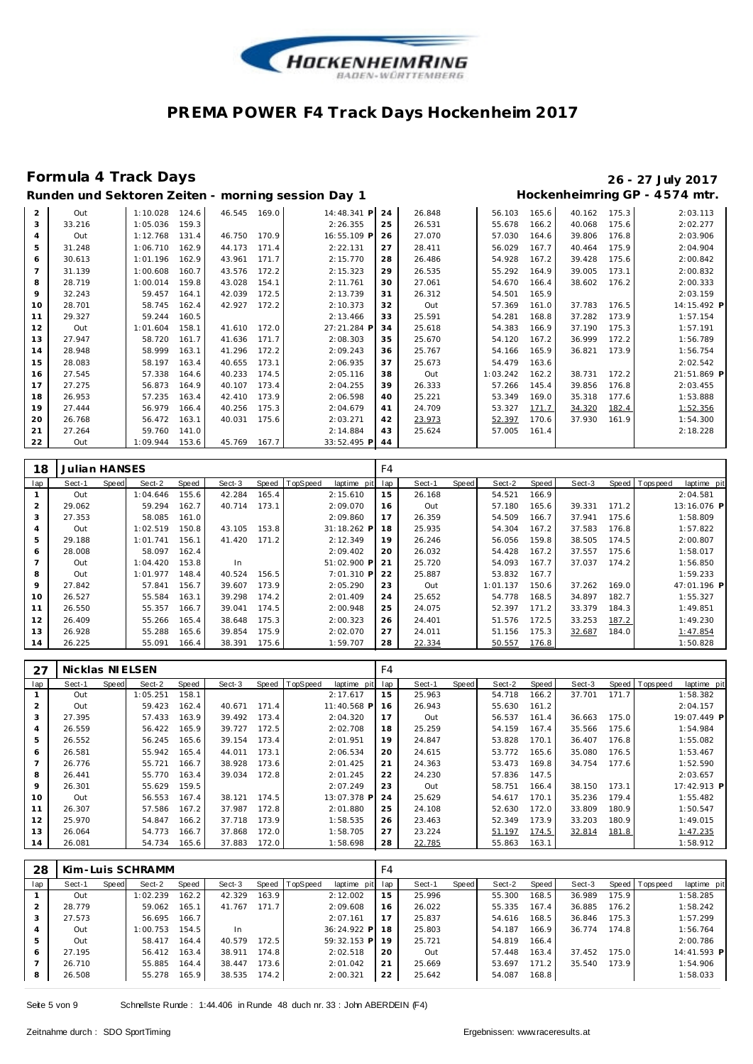

### **Formula 4 Track Days 26 - 27 July 2017**

#### **Runden und Sektoren Zeiten - morning session Day 1 Hockenheimring GP - 4 574 mtr.**

| $\overline{2}$ | Out    | 1:10.028 | 124.6 | 46.545 | 169.0 | 14:48.341 P | 24 | 26.848 | 56.103   | 165.6 | 40.162 | 175.3 | 2:03.113    |
|----------------|--------|----------|-------|--------|-------|-------------|----|--------|----------|-------|--------|-------|-------------|
| 3              | 33.216 | 1:05.036 | 159.3 |        |       | 2:26.355    | 25 | 26.531 | 55.678   | 166.2 | 40.068 | 175.6 | 2:02.277    |
| 4              | Out    | 1:12.768 | 131.4 | 46.750 | 170.9 | 16:55.109 P | 26 | 27.070 | 57.030   | 164.6 | 39.806 | 176.8 | 2:03.906    |
| 5              | 31.248 | 1:06.710 | 162.9 | 44.173 | 171.4 | 2:22.131    | 27 | 28.411 | 56.029   | 167.7 | 40.464 | 175.9 | 2:04.904    |
| 6              | 30.613 | 1:01.196 | 162.9 | 43.961 | 171.7 | 2:15.770    | 28 | 26.486 | 54.928   | 167.2 | 39.428 | 175.6 | 2:00.842    |
| $\overline{7}$ | 31.139 | 1:00.608 | 160.7 | 43.576 | 172.2 | 2:15.323    | 29 | 26.535 | 55.292   | 164.9 | 39.005 | 173.1 | 2:00.832    |
| 8              | 28.719 | 1:00.014 | 159.8 | 43.028 | 154.1 | 2:11.761    | 30 | 27.061 | 54.670   | 166.4 | 38.602 | 176.2 | 2:00.333    |
| 9              | 32.243 | 59.457   | 164.1 | 42.039 | 172.5 | 2:13.739    | 31 | 26.312 | 54.501   | 165.9 |        |       | 2:03.159    |
| 10             | 28.701 | 58.745   | 162.4 | 42.927 | 172.2 | 2:10.373    | 32 | Out    | 57.369   | 161.0 | 37.783 | 176.5 | 14:15.492 P |
| 11             | 29.327 | 59.244   | 160.5 |        |       | 2:13.466    | 33 | 25.591 | 54.281   | 168.8 | 37.282 | 173.9 | 1:57.154    |
| 12             | Out    | 1:01.604 | 158.1 | 41.610 | 172.0 | 27:21.284 P | 34 | 25.618 | 54.383   | 166.9 | 37.190 | 175.3 | 1:57.191    |
| 13             | 27.947 | 58.720   | 161.7 | 41.636 | 171.7 | 2:08.303    | 35 | 25.670 | 54.120   | 167.2 | 36.999 | 172.2 | 1:56.789    |
| 14             | 28.948 | 58.999   | 163.1 | 41.296 | 172.2 | 2:09.243    | 36 | 25.767 | 54.166   | 165.9 | 36.821 | 173.9 | 1:56.754    |
| 15             | 28.083 | 58.197   | 163.4 | 40.655 | 173.1 | 2:06.935    | 37 | 25.673 | 54.479   | 163.6 |        |       | 2:02.542    |
| 16             | 27.545 | 57.338   | 164.6 | 40.233 | 174.5 | 2:05.116    | 38 | Out    | 1:03.242 | 162.2 | 38.731 | 172.2 | 21:51.869 P |
| 17             | 27.275 | 56.873   | 164.9 | 40.107 | 173.4 | 2:04.255    | 39 | 26.333 | 57.266   | 145.4 | 39.856 | 176.8 | 2:03.455    |
| 18             | 26.953 | 57.235   | 163.4 | 42.410 | 173.9 | 2:06.598    | 40 | 25.221 | 53.349   | 169.0 | 35.318 | 177.6 | 1:53.888    |
| 19             | 27.444 | 56.979   | 166.4 | 40.256 | 175.3 | 2:04.679    | 41 | 24.709 | 53.327   | 171.7 | 34.320 | 182.4 | 1:52.356    |
| 20             | 26.768 | 56.472   | 163.1 | 40.031 | 175.6 | 2:03.271    | 42 | 23.973 | 52.397   | 170.6 | 37.930 | 161.9 | 1:54.300    |
| 21             | 27.264 | 59.760   | 141.0 |        |       | 2:14.884    | 43 | 25.624 | 57.005   | 161.4 |        |       | 2:18.228    |
| 22             | Out    | 1:09.944 | 153.6 | 45.769 | 167.7 | 33:52.495 P | 44 |        |          |       |        |       |             |

| 18             | <b>Julian HANSES</b> |       |          |       |        |       |          |                | F <sub>4</sub> |        |       |          |       |        |       |                 |             |
|----------------|----------------------|-------|----------|-------|--------|-------|----------|----------------|----------------|--------|-------|----------|-------|--------|-------|-----------------|-------------|
| lap            | Sect-1               | Speed | Sect-2   | Speed | Sect-3 | Speed | TopSpeed | laptime<br>pit | lap            | Sect-1 | Speed | Sect-2   | Speed | Sect-3 |       | Speed Tops peed | laptime pit |
|                | Out                  |       | 1:04.646 | 155.6 | 42.284 | 165.4 |          | 2:15.610       | 15             | 26.168 |       | 54.521   | 166.9 |        |       |                 | 2:04.581    |
| 2              | 29.062               |       | 59.294   | 162.7 | 40.714 | 173.1 |          | 2:09.070       | 16             | Out    |       | 57.180   | 165.6 | 39.331 | 171.2 |                 | 13:16.076 P |
| 3              | 27.353               |       | 58.085   | 161.0 |        |       |          | 2:09.860       | 17             | 26.359 |       | 54.509   | 166.7 | 37.941 | 175.6 |                 | 1:58.809    |
| $\overline{4}$ | Out                  |       | 1:02.519 | 150.8 | 43.105 | 153.8 |          | 31:18.262 P    | 18             | 25.935 |       | 54.304   | 167.2 | 37.583 | 176.8 |                 | 1:57.822    |
| 5              | 29.188               |       | 1:01.741 | 156.1 | 41.420 | 171.2 |          | 2:12.349       | 19             | 26.246 |       | 56.056   | 159.8 | 38.505 | 174.5 |                 | 2:00.807    |
| 6              | 28.008               |       | 58.097   | 162.4 |        |       |          | 2:09.402       | 20             | 26.032 |       | 54.428   | 167.2 | 37.557 | 175.6 |                 | 1:58.017    |
| $\overline{ }$ | Out                  |       | 1:04.420 | 153.8 | In     |       |          | 51:02.900 P    | 21             | 25.720 |       | 54.093   | 167.7 | 37.037 | 174.2 |                 | 1:56.850    |
| 8              | Out                  |       | 1:01.977 | 148.4 | 40.524 | 156.5 |          | 7:01.310 P     | 22             | 25.887 |       | 53.832   | 167.7 |        |       |                 | 1:59.233    |
| 9              | 27.842               |       | 57.841   | 156.7 | 39.607 | 173.9 |          | 2:05.290       | 23             | Out    |       | 1:01.137 | 150.6 | 37.262 | 169.0 |                 | 47:01.196 P |
| 10             | 26.527               |       | 55.584   | 163.1 | 39.298 | 174.2 |          | 2:01.409       | 24             | 25.652 |       | 54.778   | 168.5 | 34.897 | 182.7 |                 | 1:55.327    |
| 11             | 26.550               |       | 55.357   | 166.7 | 39.041 | 174.5 |          | 2:00.948       | 25             | 24.075 |       | 52.397   | 171.2 | 33.379 | 184.3 |                 | 1:49.851    |
| 12             | 26.409               |       | 55.266   | 165.4 | 38.648 | 175.3 |          | 2:00.323       | 26             | 24.401 |       | 51.576   | 172.5 | 33.253 | 187.2 |                 | 1:49.230    |
| 13             | 26.928               |       | 55.288   | 165.6 | 39.854 | 175.9 |          | 2:02.070       | 27             | 24.011 |       | 51.156   | 175.3 | 32.687 | 184.0 |                 | 1:47.854    |
| 14             | 26.225               |       | 55.091   | 166.4 | 38.391 | 175.6 |          | 1:59.707       | 28             | 22.334 |       | 50.557   | 176.8 |        |       |                 | 1:50.828    |

| 27  | Nicklas NIELSEN |       |          |       |        |       |          |                | F4  |        |              |        |       |        |       |                   |             |
|-----|-----------------|-------|----------|-------|--------|-------|----------|----------------|-----|--------|--------------|--------|-------|--------|-------|-------------------|-------------|
| lap | Sect-1          | Speed | Sect-2   | Speed | Sect-3 | Speed | TopSpeed | laptime<br>pit | lap | Sect-1 | <b>Speed</b> | Sect-2 | Speed | Sect-3 |       | Speed   Tops peed | laptime pit |
|     | Out             |       | 1:05.251 | 158.1 |        |       |          | 2:17.617       | 15  | 25.963 |              | 54.718 | 166.2 | 37.701 | 171.7 |                   | 1:58.382    |
| 2   | Out             |       | 59.423   | 162.4 | 40.671 | 171.4 |          | 11:40.568 P    | 16  | 26.943 |              | 55.630 | 161.2 |        |       |                   | 2:04.157    |
| 3   | 27.395          |       | 57.433   | 163.9 | 39.492 | 173.4 |          | 2:04.320       | 17  | Out    |              | 56.537 | 161.4 | 36.663 | 175.0 |                   | 19:07.449 P |
| 4   | 26.559          |       | 56.422   | 165.9 | 39.727 | 172.5 |          | 2:02.708       | 18  | 25.259 |              | 54.159 | 167.4 | 35.566 | 175.6 |                   | 1:54.984    |
| 5   | 26.552          |       | 56.245   | 165.6 | 39.154 | 173.4 |          | 2:01.951       | 19  | 24.847 |              | 53.828 | 170.1 | 36.407 | 176.8 |                   | 1:55.082    |
| 6   | 26.581          |       | 55.942   | 165.4 | 44.011 | 173.1 |          | 2:06.534       | 20  | 24.615 |              | 53.772 | 165.6 | 35.080 | 176.5 |                   | 1:53.467    |
|     | 26.776          |       | 55.721   | 166.7 | 38.928 | 173.6 |          | 2:01.425       | 21  | 24.363 |              | 53.473 | 169.8 | 34.754 | 177.6 |                   | 1:52.590    |
| 8   | 26.441          |       | 55.770   | 163.4 | 39.034 | 172.8 |          | 2:01.245       | 22  | 24.230 |              | 57.836 | 147.5 |        |       |                   | 2:03.657    |
| 9   | 26.301          |       | 55.629   | 159.5 |        |       |          | 2:07.249       | 23  | Out    |              | 58.751 | 166.4 | 38.150 | 173.1 |                   | 17:42.913 P |
| 10  | Out             |       | 56.553   | 167.4 | 38.121 | 174.5 |          | 13:07.378 P    | 24  | 25.629 |              | 54.617 | 170.1 | 35.236 | 179.4 |                   | 1:55.482    |
| 11  | 26.307          |       | 57.586   | 167.2 | 37.987 | 172.8 |          | 2:01.880       | 25  | 24.108 |              | 52.630 | 172.0 | 33.809 | 180.9 |                   | 1:50.547    |
| 12  | 25.970          |       | 54.847   | 166.2 | 37.718 | 173.9 |          | 1:58.535       | 26  | 23.463 |              | 52.349 | 173.9 | 33.203 | 180.9 |                   | 1:49.015    |
| 13  | 26.064          |       | 54.773   | 166.7 | 37.868 | 172.0 |          | 1:58.705       | 27  | 23.224 |              | 51.197 | 174.5 | 32.814 | 181.8 |                   | 1:47.235    |
| 14  | 26.081          |       | 54.734   | 165.6 | 37.883 | 172.0 |          | 1:58.698       | 28  | 22.785 |              | 55.863 | 163.1 |        |       |                   | 1:58.912    |

| 28  |        |       | Kim-Luis SCHRAMM |                    |        |       |                  |             | F4  |        |       |        |       |        |       |                 |             |
|-----|--------|-------|------------------|--------------------|--------|-------|------------------|-------------|-----|--------|-------|--------|-------|--------|-------|-----------------|-------------|
| lap | Sect-1 | Speed | Sect-2           | Speed              | Sect-3 |       | Speed   TopSpeed | laptime pit | lap | Sect-1 | Speed | Sect-2 | Speed | Sect-3 |       | Speed Tops peed | laptime pit |
|     | Out    |       | 1:02.239         | 162.2              | 42.329 | 163.9 |                  | 2:12.002    | 15  | 25.996 |       | 55.300 | 168.5 | 36.989 | 175.9 |                 | 1:58.285    |
|     | 28.779 |       | 59.062           | 165.1 <sub>1</sub> | 41.767 | 171.7 |                  | 2:09.608    | 16  | 26.022 |       | 55.335 | 167.4 | 36.885 | 176.2 |                 | 1:58.242    |
|     | 27.573 |       | 56.695           | 166.71             |        |       |                  | 2:07.161    | 17  | 25.837 |       | 54.616 | 168.5 | 36.846 | 175.3 |                 | 1:57.299    |
|     | Out    |       | 1:00.753         | 154.5              | In     |       |                  | 36:24.922 P | 18  | 25.803 |       | 54.187 | 166.9 | 36.774 | 174.8 |                 | 1:56.764    |
| 5.  | Out    |       | 58.417           | 164.4              | 40.579 | 172.5 |                  | 59:32.153 P | 19  | 25.721 |       | 54.819 | 166.4 |        |       |                 | 2:00.786    |
| 6   | 27.195 |       | 56.412           | 163.4 <sub>1</sub> | 38.911 | 174.8 |                  | 2:02.518    | 20  | Out    |       | 57.448 | 163.4 | 37.452 | 175.0 |                 | 14:41.593 P |
|     | 26.710 |       | 55.885           | 164.4              | 38.447 | 173.6 |                  | 2:01.042    | 21  | 25.669 |       | 53.697 | 171.2 | 35.540 | 173.9 |                 | 1:54.906    |
| 8   | 26.508 |       | 55.278           | 165.9              | 38.535 | 174.2 |                  | 2:00.321    | 22  | 25.642 |       | 54.087 | 168.8 |        |       |                 | 1:58.033    |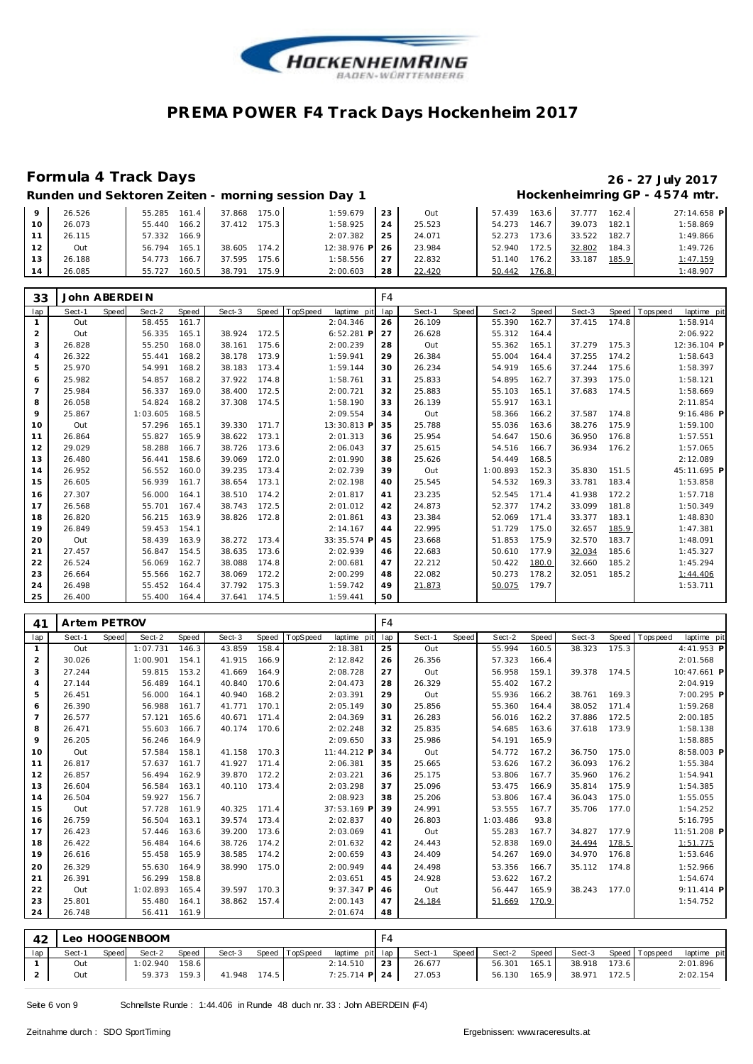

#### **Formula 4 Track Days 26 - 27 July 2017** Hockenheimring GP - 4574 mtr.

| Runden und Sektoren Zeiten - morning session Day 1 |  |
|----------------------------------------------------|--|

|    | 26.526 | 55.285<br>161   | 175.0<br>37.868 | 1:59.679    | 23 | Out    | 57.439 | 163.6 | .777<br>37. | 162.4 | 27:14.658 P |
|----|--------|-----------------|-----------------|-------------|----|--------|--------|-------|-------------|-------|-------------|
| 10 | 26.073 | 166.2<br>55.440 | 75.3<br>37.412  | 1:58.925    | 24 | 25.523 | 54.273 | 146.  | 39.073      | 182.1 | 1:58.869    |
|    | 26.115 | 166.9<br>57.332 |                 | 2:07.382    | 25 | 24.071 | 52.273 | 173.6 | 33.522      | 182.7 | 1:49.866    |
| 12 | Out    | 165.1<br>56.794 | 174.2<br>38.605 | 12:38.976 P | 26 | 23.984 | 52.940 | '72.5 | 32.802      | 184.3 | 1:49.726    |
| 13 | 26.188 | 166.7<br>54.773 | 75.6<br>37.595  | 1:58.556    | 27 | 22.832 | 51.140 | 176.2 | 33.187      | 185.9 | 1:47.159    |
| 14 | 26.085 | 160.5<br>55.727 | 38.791<br>175.9 | 2:00.603    | 28 | 22.420 | 50.442 | 176.8 |             |       | 1:48.907    |

| 33             | John ABERDEIN |       |          |       |        |       |          |              | F4  |        |       |          |       |        |       |            |              |
|----------------|---------------|-------|----------|-------|--------|-------|----------|--------------|-----|--------|-------|----------|-------|--------|-------|------------|--------------|
| lap            | Sect-1        | Speed | Sect-2   | Speed | Sect-3 | Speed | TopSpeed | laptime pit  | lap | Sect-1 | Speed | Sect-2   | Speed | Sect-3 | Speed | T ops peed | laptime pit  |
| 1              | Out           |       | 58.455   | 161.7 |        |       |          | 2:04.346     | 26  | 26.109 |       | 55.390   | 162.7 | 37.415 | 174.8 |            | 1:58.914     |
| 2              | Out           |       | 56.335   | 165.1 | 38.924 | 172.5 |          | $6:52.281$ P | 27  | 26.628 |       | 55.312   | 164.4 |        |       |            | 2:06.922     |
| 3              | 26.828        |       | 55.250   | 168.0 | 38.161 | 175.6 |          | 2:00.239     | 28  | Out    |       | 55.362   | 165.1 | 37.279 | 175.3 |            | 12:36.104 P  |
| 4              | 26.322        |       | 55.441   | 168.2 | 38.178 | 173.9 |          | 1:59.941     | 29  | 26.384 |       | 55.004   | 164.4 | 37.255 | 174.2 |            | 1:58.643     |
| 5              | 25.970        |       | 54.991   | 168.2 | 38.183 | 173.4 |          | 1:59.144     | 30  | 26.234 |       | 54.919   | 165.6 | 37.244 | 175.6 |            | 1:58.397     |
| 6              | 25.982        |       | 54.857   | 168.2 | 37.922 | 174.8 |          | 1:58.761     | 31  | 25.833 |       | 54.895   | 162.7 | 37.393 | 175.0 |            | 1:58.121     |
| $\overline{7}$ | 25.984        |       | 56.337   | 169.0 | 38.400 | 172.5 |          | 2:00.721     | 32  | 25.883 |       | 55.103   | 165.1 | 37.683 | 174.5 |            | 1:58.669     |
| 8              | 26.058        |       | 54.824   | 168.2 | 37.308 | 174.5 |          | 1:58.190     | 33  | 26.139 |       | 55.917   | 163.1 |        |       |            | 2:11.854     |
| 9              | 25.867        |       | 1:03.605 | 168.5 |        |       |          | 2:09.554     | 34  | Out    |       | 58.366   | 166.2 | 37.587 | 174.8 |            | $9:16.486$ P |
| 10             | Out           |       | 57.296   | 165.1 | 39.330 | 171.7 |          | 13:30.813 P  | 35  | 25.788 |       | 55.036   | 163.6 | 38.276 | 175.9 |            | 1:59.100     |
| 11             | 26.864        |       | 55.827   | 165.9 | 38.622 | 173.1 |          | 2:01.313     | 36  | 25.954 |       | 54.647   | 150.6 | 36.950 | 176.8 |            | 1:57.551     |
| 12             | 29.029        |       | 58.288   | 166.7 | 38.726 | 173.6 |          | 2:06.043     | 37  | 25.615 |       | 54.516   | 166.7 | 36.934 | 176.2 |            | 1:57.065     |
| 13             | 26.480        |       | 56.441   | 158.6 | 39.069 | 172.0 |          | 2:01.990     | 38  | 25.626 |       | 54.449   | 168.5 |        |       |            | 2:12.089     |
| 14             | 26.952        |       | 56.552   | 160.0 | 39.235 | 173.4 |          | 2:02.739     | 39  | Out    |       | 1:00.893 | 152.3 | 35.830 | 151.5 |            | 45:11.695 P  |
| 15             | 26.605        |       | 56.939   | 161.7 | 38.654 | 173.1 |          | 2:02.198     | 40  | 25.545 |       | 54.532   | 169.3 | 33.781 | 183.4 |            | 1:53.858     |
| 16             | 27.307        |       | 56.000   | 164.1 | 38.510 | 174.2 |          | 2:01.817     | 41  | 23.235 |       | 52.545   | 171.4 | 41.938 | 172.2 |            | 1:57.718     |
| 17             | 26.568        |       | 55.701   | 167.4 | 38.743 | 172.5 |          | 2:01.012     | 42  | 24.873 |       | 52.377   | 174.2 | 33.099 | 181.8 |            | 1:50.349     |
| 18             | 26.820        |       | 56.215   | 163.9 | 38.826 | 172.8 |          | 2:01.861     | 43  | 23.384 |       | 52.069   | 171.4 | 33.377 | 183.1 |            | 1:48.830     |
| 19             | 26.849        |       | 59.453   | 154.1 |        |       |          | 2:14.167     | 44  | 22.995 |       | 51.729   | 175.0 | 32.657 | 185.9 |            | 1:47.381     |
| 20             | Out           |       | 58.439   | 163.9 | 38.272 | 173.4 |          | 33:35.574 P  | 45  | 23.668 |       | 51.853   | 175.9 | 32.570 | 183.7 |            | 1:48.091     |
| 21             | 27.457        |       | 56.847   | 154.5 | 38.635 | 173.6 |          | 2:02.939     | 46  | 22.683 |       | 50.610   | 177.9 | 32.034 | 185.6 |            | 1:45.327     |
| 22             | 26.524        |       | 56.069   | 162.7 | 38.088 | 174.8 |          | 2:00.681     | 47  | 22.212 |       | 50.422   | 180.0 | 32.660 | 185.2 |            | 1:45.294     |
| 23             | 26.664        |       | 55.566   | 162.7 | 38.069 | 172.2 |          | 2:00.299     | 48  | 22.082 |       | 50.273   | 178.2 | 32.051 | 185.2 |            | 1:44.406     |
| 24             | 26.498        |       | 55.452   | 164.4 | 37.792 | 175.3 |          | 1:59.742     | 49  | 21.873 |       | 50.075   | 179.7 |        |       |            | 1:53.711     |
| 25             | 26.400        |       | 55.400   | 164.4 | 37.641 | 174.5 |          | 1:59.441     | 50  |        |       |          |       |        |       |            |              |

| 41             | Artem PETROV |       |          |       |        |       |          |             | F4  |        |       |          |       |        |       |                 |             |  |
|----------------|--------------|-------|----------|-------|--------|-------|----------|-------------|-----|--------|-------|----------|-------|--------|-------|-----------------|-------------|--|
| lap            | Sect-1       | Speed | Sect-2   | Speed | Sect-3 | Speed | TopSpeed | laptime pit | lap | Sect-1 | Speed | Sect-2   | Speed | Sect-3 | Speed | <b>Topspeed</b> | laptime pit |  |
| $\mathbf{1}$   | Out          |       | 1:07.731 | 146.3 | 43.859 | 158.4 |          | 2:18.381    | 25  | Out    |       | 55.994   | 160.5 | 38.323 | 175.3 |                 | 4:41.953 P  |  |
| 2              | 30.026       |       | 1:00.901 | 154.1 | 41.915 | 166.9 |          | 2:12.842    | 26  | 26.356 |       | 57.323   | 166.4 |        |       |                 | 2:01.568    |  |
| 3              | 27.244       |       | 59.815   | 153.2 | 41.669 | 164.9 |          | 2:08.728    | 27  | Out    |       | 56.958   | 159.1 | 39.378 | 174.5 |                 | 10:47.661 P |  |
| $\overline{4}$ | 27.144       |       | 56.489   | 164.1 | 40.840 | 170.6 |          | 2:04.473    | 28  | 26.329 |       | 55.402   | 167.2 |        |       |                 | 2:04.919    |  |
| 5              | 26.451       |       | 56.000   | 164.1 | 40.940 | 168.2 |          | 2:03.391    | 29  | Out    |       | 55.936   | 166.2 | 38.761 | 169.3 |                 | 7:00.295 P  |  |
| 6              | 26.390       |       | 56.988   | 161.7 | 41.771 | 170.1 |          | 2:05.149    | 30  | 25.856 |       | 55.360   | 164.4 | 38.052 | 171.4 |                 | 1:59.268    |  |
| $\overline{7}$ | 26.577       |       | 57.121   | 165.6 | 40.671 | 171.4 |          | 2:04.369    | 31  | 26.283 |       | 56.016   | 162.2 | 37.886 | 172.5 |                 | 2:00.185    |  |
| 8              | 26.471       |       | 55.603   | 166.7 | 40.174 | 170.6 |          | 2:02.248    | 32  | 25.835 |       | 54.685   | 163.6 | 37.618 | 173.9 |                 | 1:58.138    |  |
| 9              | 26.205       |       | 56.246   | 164.9 |        |       |          | 2:09.650    | 33  | 25.986 |       | 54.191   | 165.9 |        |       |                 | 1:58.885    |  |
| 10             | Out          |       | 57.584   | 158.1 | 41.158 | 170.3 |          | 11:44.212 P | 34  | Out    |       | 54.772   | 167.2 | 36.750 | 175.0 |                 | 8:58.003 P  |  |
| 11             | 26.817       |       | 57.637   | 161.7 | 41.927 | 171.4 |          | 2:06.381    | 35  | 25.665 |       | 53.626   | 167.2 | 36.093 | 176.2 |                 | 1:55.384    |  |
| 12             | 26.857       |       | 56.494   | 162.9 | 39.870 | 172.2 |          | 2:03.221    | 36  | 25.175 |       | 53.806   | 167.7 | 35.960 | 176.2 |                 | 1:54.941    |  |
| 13             | 26.604       |       | 56.584   | 163.1 | 40.110 | 173.4 |          | 2:03.298    | 37  | 25.096 |       | 53.475   | 166.9 | 35.814 | 175.9 |                 | 1:54.385    |  |
| 14             | 26.504       |       | 59.927   | 156.7 |        |       |          | 2:08.923    | 38  | 25.206 |       | 53.806   | 167.4 | 36.043 | 175.0 |                 | 1:55.055    |  |
| 15             | Out          |       | 57.728   | 161.9 | 40.325 | 171.4 |          | 37:53.169 P | 39  | 24.991 |       | 53.555   | 167.7 | 35.706 | 177.0 |                 | 1:54.252    |  |
| 16             | 26.759       |       | 56.504   | 163.1 | 39.574 | 173.4 |          | 2:02.837    | 40  | 26.803 |       | 1:03.486 | 93.8  |        |       |                 | 5:16.795    |  |
| 17             | 26.423       |       | 57.446   | 163.6 | 39.200 | 173.6 |          | 2:03.069    | 41  | Out    |       | 55.283   | 167.7 | 34.827 | 177.9 |                 | 11:51.208 P |  |
| 18             | 26.422       |       | 56.484   | 164.6 | 38.726 | 174.2 |          | 2:01.632    | 42  | 24.443 |       | 52.838   | 169.0 | 34.494 | 178.5 |                 | 1:51.775    |  |
| 19             | 26.616       |       | 55.458   | 165.9 | 38.585 | 174.2 |          | 2:00.659    | 43  | 24.409 |       | 54.267   | 169.0 | 34.970 | 176.8 |                 | 1:53.646    |  |
| 20             | 26.329       |       | 55.630   | 164.9 | 38.990 | 175.0 |          | 2:00.949    | 44  | 24.498 |       | 53.356   | 166.7 | 35.112 | 174.8 |                 | 1:52.966    |  |
| 21             | 26.391       |       | 56.299   | 158.8 |        |       |          | 2:03.651    | 45  | 24.928 |       | 53.622   | 167.2 |        |       |                 | 1:54.674    |  |
| 22             | Out          |       | 1:02.893 | 165.4 | 39.597 | 170.3 |          | 9:37.347 P  | 46  | Out    |       | 56.447   | 165.9 | 38.243 | 177.0 |                 | 9:11.414 P  |  |
| 23             | 25.801       |       | 55.480   | 164.1 | 38.862 | 157.4 |          | 2:00.143    | 47  | 24.184 |       | 51.669   | 170.9 |        |       |                 | 1:54.752    |  |
| 24             | 26.748       |       | 56.411   | 161.9 |        |       |          | 2:01.674    | 48  |        |       |          |       |        |       |                 |             |  |

|     | 42 |        |       | Leo HOOGENBOOM   |       |              |                |                 |    |        |       |              |       |              |                   |             |
|-----|----|--------|-------|------------------|-------|--------------|----------------|-----------------|----|--------|-------|--------------|-------|--------------|-------------------|-------------|
| lap |    | Sect-1 | Speed | Sect-2           | Speed | Sect-3       | Speed TopSpeed | laptime pit lap |    | Sect-1 | Speed | Sect-2       | Speed | Sect-3       | Speed   Tops peed | laptime pit |
|     |    | Out    |       | $1:02.940$ 158.6 |       |              |                | 2:14.510        | 23 | 26.677 |       | 56.301       | 165.1 | 38.918 173.6 |                   | 2:01.896    |
|     |    | Out    |       | 59.373 159.3     |       | 41.948 174.5 |                | 7:25.714 P 24   |    | 27.053 |       | 56.130 165.9 |       | 38.971 172.5 |                   | 2:02.154    |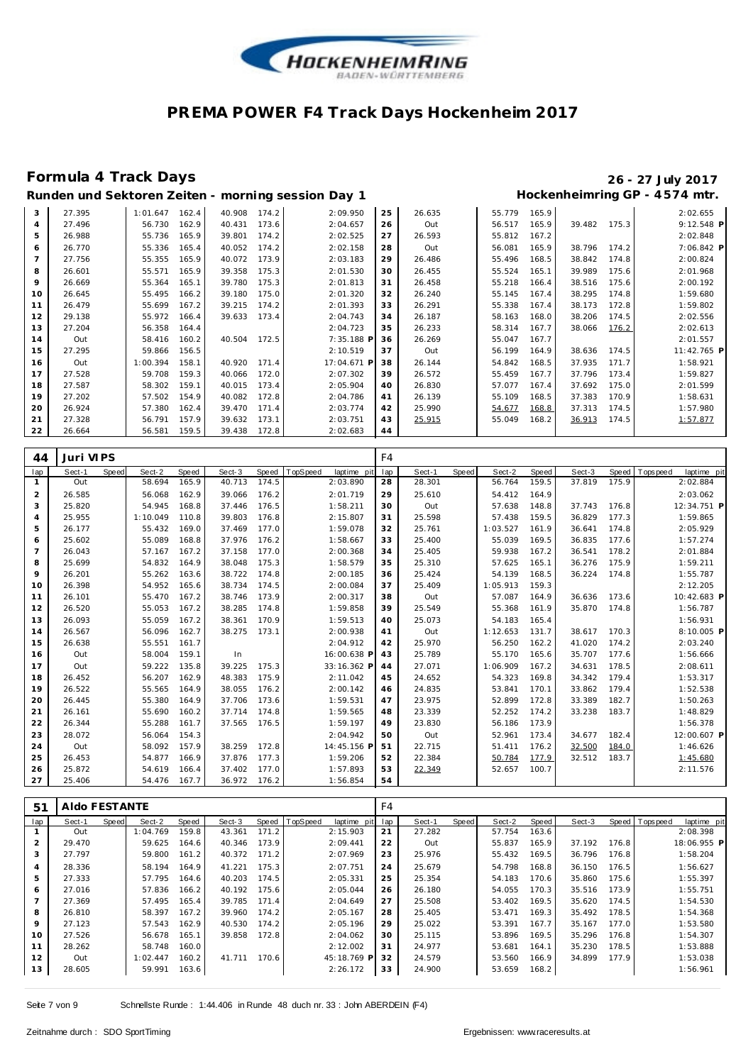

# **Formula 4 Track Days 26 - 27 July 2017**

| Runden und Sektoren Zeiten - morning session Day 1 | Hockenheimring GP - 4574 mtr. |
|----------------------------------------------------|-------------------------------|
|----------------------------------------------------|-------------------------------|

| 3              | 27.395 | 162.4<br>1:01.647 | 40.908<br>174.2 | 2:09.950    | 25 | 26.635 | 55.779 | 165.9 |                 | 2:02.655    |
|----------------|--------|-------------------|-----------------|-------------|----|--------|--------|-------|-----------------|-------------|
| $\overline{4}$ | 27.496 | 56.730<br>162.9   | 173.6<br>40.431 | 2:04.657    | 26 | Out    | 56.517 | 165.9 | 39.482<br>175.3 | 9:12.548 P  |
| 5              | 26.988 | 55.736<br>165.9   | 39.801<br>174.2 | 2:02.525    | 27 | 26.593 | 55.812 | 167.2 |                 | 2:02.848    |
| 6              | 26.770 | 55.336<br>165.4   | 40.052<br>174.2 | 2:02.158    | 28 | Out    | 56.081 | 165.9 | 174.2<br>38.796 | 7:06.842 P  |
| 7              | 27.756 | 55.355<br>165.9   | 40.072<br>173.9 | 2:03.183    | 29 | 26.486 | 55.496 | 168.5 | 174.8<br>38.842 | 2:00.824    |
| 8              | 26.601 | 55.571<br>165.9   | 175.3<br>39.358 | 2:01.530    | 30 | 26.455 | 55.524 | 165.1 | 175.6<br>39.989 | 2:01.968    |
| 9              | 26.669 | 55.364<br>165.1   | 39.780<br>175.3 | 2:01.813    | 31 | 26.458 | 55.218 | 166.4 | 38.516<br>175.6 | 2:00.192    |
| 10             | 26.645 | 55.495<br>166.2   | 175.0<br>39.180 | 2:01.320    | 32 | 26.240 | 55.145 | 167.4 | 38.295<br>174.8 | 1:59.680    |
| 11             | 26.479 | 55.699<br>167.2   | 174.2<br>39.215 | 2:01.393    | 33 | 26.291 | 55.338 | 167.4 | 38.173<br>172.8 | 1:59.802    |
| 12             | 29.138 | 55.972<br>166.4   | 39.633<br>173.4 | 2:04.743    | 34 | 26.187 | 58.163 | 168.0 | 38.206<br>174.5 | 2:02.556    |
| 13             | 27.204 | 56.358<br>164.4   |                 | 2:04.723    | 35 | 26.233 | 58.314 | 167.7 | 38.066<br>176.2 | 2:02.613    |
| 14             | Out    | 58.416<br>160.2   | 172.5<br>40.504 | 7:35.188 P  | 36 | 26.269 | 55.047 | 167.7 |                 | 2:01.557    |
| 15             | 27.295 | 156.5<br>59.866   |                 | 2:10.519    | 37 | Out    | 56.199 | 164.9 | 174.5<br>38.636 | 11:42.765 P |
| 16             | Out    | 158.1<br>1:00.394 | 40.920<br>171.4 | 17:04.671 P | 38 | 26.144 | 54.842 | 168.5 | 171.7<br>37.935 | 1:58.921    |
| 17             | 27.528 | 159.3<br>59.708   | 172.0<br>40.066 | 2:07.302    | 39 | 26.572 | 55.459 | 167.7 | 37.796<br>173.4 | 1:59.827    |
| 18             | 27.587 | 159.1<br>58.302   | 173.4<br>40.015 | 2:05.904    | 40 | 26.830 | 57.077 | 167.4 | 37.692<br>175.0 | 2:01.599    |
| 19             | 27.202 | 154.9<br>57.502   | 40.082<br>172.8 | 2:04.786    | 41 | 26.139 | 55.109 | 168.5 | 37.383<br>170.9 | 1:58.631    |
| 20             | 26.924 | 57.380<br>162.4   | 39.470<br>171.4 | 2:03.774    | 42 | 25.990 | 54.677 | 168.8 | 37.313<br>174.5 | 1:57.980    |
| 21             | 27.328 | 157.9<br>56.791   | 39.632<br>173.1 | 2:03.751    | 43 | 25.915 | 55.049 | 168.2 | 174.5<br>36.913 | 1:57.877    |
| 22             | 26.664 | 159.5<br>56.581   | 172.8<br>39.438 | 2:02.683    | 44 |        |        |       |                 |             |

| 44             | Juri VIPS |       |          |       |        |       |          |             | F4  |        |       |          |       |        |       |                           |  |
|----------------|-----------|-------|----------|-------|--------|-------|----------|-------------|-----|--------|-------|----------|-------|--------|-------|---------------------------|--|
| lap            | Sect-1    | Speed | Sect-2   | Speed | Sect-3 | Speed | TopSpeed | laptime pit | lap | Sect-1 | Speed | Sect-2   | Speed | Sect-3 | Speed | laptime pit<br>T ops peed |  |
| 1              | Out       |       | 58.694   | 165.9 | 40.713 | 174.5 |          | 2:03.890    | 28  | 28.301 |       | 56.764   | 159.5 | 37.819 | 175.9 | 2:02.884                  |  |
| $\overline{2}$ | 26.585    |       | 56.068   | 162.9 | 39.066 | 176.2 |          | 2:01.719    | 29  | 25.610 |       | 54.412   | 164.9 |        |       | 2:03.062                  |  |
| 3              | 25.820    |       | 54.945   | 168.8 | 37.446 | 176.5 |          | 1:58.211    | 30  | Out    |       | 57.638   | 148.8 | 37.743 | 176.8 | 12:34.751 P               |  |
| $\overline{4}$ | 25.955    |       | 1:10.049 | 110.8 | 39.803 | 176.8 |          | 2:15.807    | 31  | 25.598 |       | 57.438   | 159.5 | 36.829 | 177.3 | 1:59.865                  |  |
| 5              | 26.177    |       | 55.432   | 169.0 | 37.469 | 177.0 |          | 1:59.078    | 32  | 25.761 |       | 1:03.527 | 161.9 | 36.641 | 174.8 | 2:05.929                  |  |
| 6              | 25.602    |       | 55.089   | 168.8 | 37.976 | 176.2 |          | 1:58.667    | 33  | 25.400 |       | 55.039   | 169.5 | 36.835 | 177.6 | 1:57.274                  |  |
| $\overline{7}$ | 26.043    |       | 57.167   | 167.2 | 37.158 | 177.0 |          | 2:00.368    | 34  | 25.405 |       | 59.938   | 167.2 | 36.541 | 178.2 | 2:01.884                  |  |
| 8              | 25.699    |       | 54.832   | 164.9 | 38.048 | 175.3 |          | 1:58.579    | 35  | 25.310 |       | 57.625   | 165.1 | 36.276 | 175.9 | 1:59.211                  |  |
| 9              | 26.201    |       | 55.262   | 163.6 | 38.722 | 174.8 |          | 2:00.185    | 36  | 25.424 |       | 54.139   | 168.5 | 36.224 | 174.8 | 1:55.787                  |  |
| 10             | 26.398    |       | 54.952   | 165.6 | 38.734 | 174.5 |          | 2:00.084    | 37  | 25.409 |       | 1:05.913 | 159.3 |        |       | 2:12.205                  |  |
| 11             | 26.101    |       | 55.470   | 167.2 | 38.746 | 173.9 |          | 2:00.317    | 38  | Out    |       | 57.087   | 164.9 | 36.636 | 173.6 | 10:42.683 P               |  |
| 12             | 26.520    |       | 55.053   | 167.2 | 38.285 | 174.8 |          | 1:59.858    | 39  | 25.549 |       | 55.368   | 161.9 | 35.870 | 174.8 | 1:56.787                  |  |
| 13             | 26.093    |       | 55.059   | 167.2 | 38.361 | 170.9 |          | 1:59.513    | 40  | 25.073 |       | 54.183   | 165.4 |        |       | 1:56.931                  |  |
| 14             | 26.567    |       | 56.096   | 162.7 | 38.275 | 173.1 |          | 2:00.938    | 41  | Out    |       | 1:12.653 | 131.7 | 38.617 | 170.3 | 8:10.005 P                |  |
| 15             | 26.638    |       | 55.551   | 161.7 |        |       |          | 2:04.912    | 42  | 25.970 |       | 56.250   | 162.2 | 41.020 | 174.2 | 2:03.240                  |  |
| 16             | Out       |       | 58.004   | 159.1 | In     |       |          | 16:00.638 P | 43  | 25.789 |       | 55.170   | 165.6 | 35.707 | 177.6 | 1:56.666                  |  |
| 17             | Out       |       | 59.222   | 135.8 | 39.225 | 175.3 |          | 33:16.362 P | 44  | 27.071 |       | 1:06.909 | 167.2 | 34.631 | 178.5 | 2:08.611                  |  |
| 18             | 26.452    |       | 56.207   | 162.9 | 48.383 | 175.9 |          | 2:11.042    | 45  | 24.652 |       | 54.323   | 169.8 | 34.342 | 179.4 | 1:53.317                  |  |
| 19             | 26.522    |       | 55.565   | 164.9 | 38.055 | 176.2 |          | 2:00.142    | 46  | 24.835 |       | 53.841   | 170.1 | 33.862 | 179.4 | 1:52.538                  |  |
| 20             | 26.445    |       | 55.380   | 164.9 | 37.706 | 173.6 |          | 1:59.531    | 47  | 23.975 |       | 52.899   | 172.8 | 33.389 | 182.7 | 1:50.263                  |  |
| 21             | 26.161    |       | 55.690   | 160.2 | 37.714 | 174.8 |          | 1:59.565    | 48  | 23.339 |       | 52.252   | 174.2 | 33.238 | 183.7 | 1:48.829                  |  |
| 22             | 26.344    |       | 55.288   | 161.7 | 37.565 | 176.5 |          | 1:59.197    | 49  | 23.830 |       | 56.186   | 173.9 |        |       | 1:56.378                  |  |
| 23             | 28.072    |       | 56.064   | 154.3 |        |       |          | 2:04.942    | 50  | Out    |       | 52.961   | 173.4 | 34.677 | 182.4 | 12:00.607 P               |  |
| 24             | Out       |       | 58.092   | 157.9 | 38.259 | 172.8 |          | 14:45.156 P | 51  | 22.715 |       | 51.411   | 176.2 | 32.500 | 184.0 | 1:46.626                  |  |
| 25             | 26.453    |       | 54.877   | 166.9 | 37.876 | 177.3 |          | 1:59.206    | 52  | 22.384 |       | 50.784   | 177.9 | 32.512 | 183.7 | 1:45.680                  |  |
| 26             | 25.872    |       | 54.619   | 166.4 | 37.402 | 177.0 |          | 1:57.893    | 53  | 22.349 |       | 52.657   | 100.7 |        |       | 2:11.576                  |  |
| 27             | 25.406    |       | 54.476   | 167.7 | 36.972 | 176.2 |          | 1:56.854    | 54  |        |       |          |       |        |       |                           |  |

| 51             | AIdo FESTANTE |       |          |       |        |       |          |             | F4  |        |       |        |       |        |       |          |             |
|----------------|---------------|-------|----------|-------|--------|-------|----------|-------------|-----|--------|-------|--------|-------|--------|-------|----------|-------------|
| lap            | Sect-1        | Speed | Sect-2   | Speed | Sect-3 | Speed | TopSpeed | laptime pit | lap | Sect-1 | Speed | Sect-2 | Speed | Sect-3 | Speed | Topspeed | laptime pit |
|                | Out           |       | 1:04.769 | 159.8 | 43.361 | 171.2 |          | 2:15.903    | 21  | 27.282 |       | 57.754 | 163.6 |        |       |          | 2:08.398    |
| 2              | 29.470        |       | 59.625   | 164.6 | 40.346 | 173.9 |          | 2:09.441    | 22  | Out    |       | 55.837 | 165.9 | 37.192 | 176.8 |          | 18:06.955 P |
| 3              | 27.797        |       | 59.800   | 161.2 | 40.372 | 171.2 |          | 2:07.969    | 23  | 25.976 |       | 55.432 | 169.5 | 36.796 | 176.8 |          | 1:58.204    |
| $\overline{4}$ | 28.336        |       | 58.194   | 164.9 | 41.221 | 175.3 |          | 2:07.751    | 24  | 25.679 |       | 54.798 | 168.8 | 36.150 | 176.5 |          | 1:56.627    |
| 5              | 27.333        |       | 57.795   | 164.6 | 40.203 | 174.5 |          | 2:05.331    | 25  | 25.354 |       | 54.183 | 170.6 | 35.860 | 175.6 |          | 1:55.397    |
| 6              | 27.016        |       | 57.836   | 166.2 | 40.192 | 175.6 |          | 2:05.044    | 26  | 26.180 |       | 54.055 | 170.3 | 35.516 | 173.9 |          | 1:55.751    |
|                | 27.369        |       | 57.495   | 165.4 | 39.785 | 171.4 |          | 2:04.649    | 27  | 25.508 |       | 53.402 | 169.5 | 35.620 | 174.5 |          | 1:54.530    |
| 8              | 26.810        |       | 58.397   | 167.2 | 39.960 | 174.2 |          | 2:05.167    | 28  | 25.405 |       | 53.471 | 169.3 | 35.492 | 178.5 |          | 1:54.368    |
| 9              | 27.123        |       | 57.543   | 162.9 | 40.530 | 174.2 |          | 2:05.196    | 29  | 25.022 |       | 53.391 | 167.7 | 35.167 | 177.0 |          | 1:53.580    |
| 10             | 27.526        |       | 56.678   | 165.1 | 39.858 | 172.8 |          | 2:04.062    | 30  | 25.115 |       | 53.896 | 169.5 | 35.296 | 176.8 |          | 1:54.307    |
| 11             | 28.262        |       | 58.748   | 160.0 |        |       |          | 2:12.002    | 31  | 24.977 |       | 53.681 | 164.1 | 35.230 | 178.5 |          | 1:53.888    |
| 12             | Out           |       | 1:02.447 | 160.2 | 41.711 | 170.6 |          | 45:18.769 P | 32  | 24.579 |       | 53.560 | 166.9 | 34.899 | 177.9 |          | 1:53.038    |
| 13             | 28.605        |       | 59.991   | 163.6 |        |       |          | 2:26.172    | 33  | 24.900 |       | 53.659 | 168.2 |        |       |          | 1:56.961    |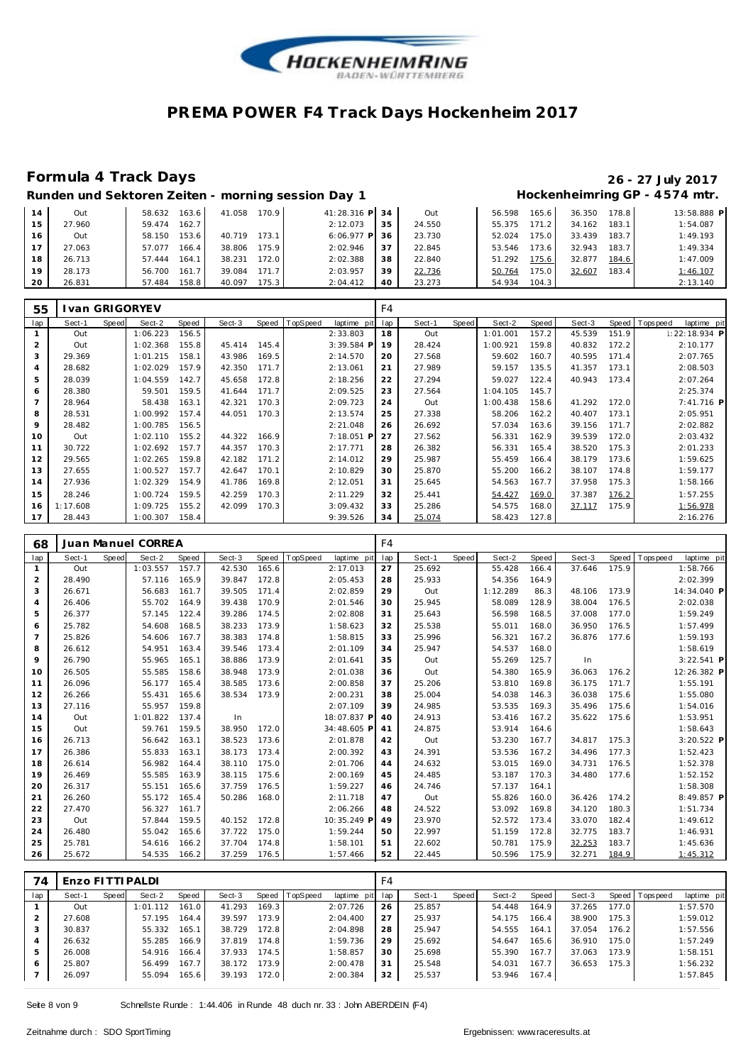

#### **Formula 4 Track Days 26 - 27 July 2017**

**Runden und Sektoren Zeiten - morning session Day 1 Hockenheimring GP - 4 574 mtr.**

|    | Out    | 58.632<br>163.6 | 41.058<br>170.9   | 41:28.316 P  | 34 | Out    | 56.598 | 165.6     | 36.350 | 178.8 | 13:58.888 P |
|----|--------|-----------------|-------------------|--------------|----|--------|--------|-----------|--------|-------|-------------|
| 15 | 27.960 | 162.7<br>59.474 |                   | 2:12.073     | 35 | 24.550 | 55.375 | 171.2     | 34.162 | 183.1 | 1:54.087    |
| 16 | Out    | 153.6<br>58.150 | 173.1<br>40.719   | $6:06.977$ P | 36 | 23.730 | 52.024 | $'75.0$ . | 33.439 | 183.7 | 1:49.193    |
|    | 27.063 | 166.4<br>57.077 | 175.9 I<br>38.806 | 2:02.946     | 37 | 22.845 | 53.546 | 73.6      | 32.943 | 183.7 | 1:49.334    |
| 18 | 26.713 | 164.1<br>57.444 | 172.0<br>38.231   | 2:02.388     | 38 | 22.840 | 51.292 | 175.6     | 32.877 | 184.6 | 1:47.009    |
| 19 | 28.173 | 56.700<br>161   | 39.084<br>171.7   | 2:03.957     | 39 | 22.736 | 50.764 | 75.0      | 32.607 | 183.4 | 1:46.107    |
| 20 | 26.831 | 158.8<br>57.484 | 75.3<br>40.097    | 2:04.412     | 40 | 23.273 | 54.934 | 104.3     |        |       | 2:13.140    |

| 55             |          |       | van GRIGORYEV |       |        |       |          |             | F4  |        |       |          |       |        |       |                 |             |
|----------------|----------|-------|---------------|-------|--------|-------|----------|-------------|-----|--------|-------|----------|-------|--------|-------|-----------------|-------------|
| lap            | Sect-1   | Speed | Sect-2        | Speed | Sect-3 | Speed | TopSpeed | laptime pit | lap | Sect-1 | Speed | Sect-2   | Speed | Sect-3 | Speed | Topspeed        | laptime pit |
|                | Out      |       | 1:06.223      | 156.5 |        |       |          | 2:33.803    | 18  | Out    |       | 1:01.001 | 157.2 | 45.539 | 151.9 | I: 22: 18.934 P |             |
| $\overline{a}$ | Out      |       | 1:02.368      | 155.8 | 45.414 | 145.4 |          | 3:39.584 P  | 19  | 28.424 |       | 1:00.921 | 159.8 | 40.832 | 172.2 | 2:10.177        |             |
| 3              | 29.369   |       | 1:01.215      | 158.1 | 43.986 | 169.5 |          | 2:14.570    | 20  | 27.568 |       | 59.602   | 160.7 | 40.595 | 171.4 | 2:07.765        |             |
| $\overline{4}$ | 28.682   |       | 1:02.029      | 157.9 | 42.350 | 171.7 |          | 2:13.061    | 21  | 27.989 |       | 59.157   | 135.5 | 41.357 | 173.1 | 2:08.503        |             |
| 5              | 28.039   |       | 1:04.559      | 142.7 | 45.658 | 172.8 |          | 2:18.256    | 22  | 27.294 |       | 59.027   | 122.4 | 40.943 | 173.4 | 2:07.264        |             |
| 6              | 28.380   |       | 59.501        | 159.5 | 41.644 | 171.7 |          | 2:09.525    | 23  | 27.564 |       | 1:04.105 | 145.7 |        |       | 2:25.374        |             |
| 7              | 28.964   |       | 58.438        | 163.1 | 42.321 | 170.3 |          | 2:09.723    | 24  | Out    |       | 1:00.438 | 158.6 | 41.292 | 172.0 |                 | 7:41.716 P  |
| 8              | 28.531   |       | 1:00.992      | 157.4 | 44.051 | 170.3 |          | 2:13.574    | 25  | 27.338 |       | 58.206   | 162.2 | 40.407 | 173.1 | 2:05.951        |             |
| 9              | 28.482   |       | 1:00.785      | 156.5 |        |       |          | 2:21.048    | 26  | 26.692 |       | 57.034   | 163.6 | 39.156 | 171.7 | 2:02.882        |             |
| 10             | Out      |       | 1:02.110      | 155.2 | 44.322 | 166.9 |          | 7:18.051 P  | 27  | 27.562 |       | 56.331   | 162.9 | 39.539 | 172.0 | 2:03.432        |             |
| 11             | 30.722   |       | 1:02.692      | 157.7 | 44.357 | 170.3 |          | 2:17.771    | 28  | 26.382 |       | 56.331   | 165.4 | 38.520 | 175.3 | 2:01.233        |             |
| 12             | 29.565   |       | 1:02.265      | 159.8 | 42.182 | 171.2 |          | 2:14.012    | 29  | 25.987 |       | 55.459   | 166.4 | 38.179 | 173.6 | 1:59.625        |             |
| 13             | 27.655   |       | 1:00.527      | 157.7 | 42.647 | 170.1 |          | 2:10.829    | 30  | 25.870 |       | 55.200   | 166.2 | 38.107 | 174.8 | 1:59.177        |             |
| 14             | 27.936   |       | 1:02.329      | 154.9 | 41.786 | 169.8 |          | 2:12.051    | 31  | 25.645 |       | 54.563   | 167.7 | 37.958 | 175.3 | 1:58.166        |             |
| 15             | 28.246   |       | 1:00.724      | 159.5 | 42.259 | 170.3 |          | 2:11.229    | 32  | 25.441 |       | 54.427   | 169.0 | 37.387 | 176.2 | 1:57.255        |             |
| 16             | 1:17.608 |       | 1:09.725      | 155.2 | 42.099 | 170.3 |          | 3:09.432    | 33  | 25.286 |       | 54.575   | 168.0 | 37.117 | 175.9 | 1:56.978        |             |
| 17             | 28.443   |       | 1:00.307      | 158.4 |        |       |          | 9:39.526    | 34  | 25.074 |       | 58.423   | 127.8 |        |       | 2:16.276        |             |

| 68             |        |       | Juan Manuel CORREA |       |        |       |          |             | F4  |        |       |          |       |        |       |                   |              |  |
|----------------|--------|-------|--------------------|-------|--------|-------|----------|-------------|-----|--------|-------|----------|-------|--------|-------|-------------------|--------------|--|
| lap            | Sect-1 | Speed | Sect-2             | Speed | Sect-3 | Speed | TopSpeed | laptime pit | lap | Sect-1 | Speed | Sect-2   | Speed | Sect-3 | Speed | <b>T</b> ops peed | laptime pit  |  |
| 1              | Out    |       | 1:03.557           | 157.7 | 42.530 | 165.6 |          | 2:17.013    | 27  | 25.692 |       | 55.428   | 166.4 | 37.646 | 175.9 |                   | 1:58.766     |  |
| $\overline{2}$ | 28.490 |       | 57.116             | 165.9 | 39.847 | 172.8 |          | 2:05.453    | 28  | 25.933 |       | 54.356   | 164.9 |        |       |                   | 2:02.399     |  |
| 3              | 26.671 |       | 56.683             | 161.7 | 39.505 | 171.4 |          | 2:02.859    | 29  | Out    |       | 1:12.289 | 86.3  | 48.106 | 173.9 |                   | 14:34.040 P  |  |
| $\overline{4}$ | 26.406 |       | 55.702             | 164.9 | 39.438 | 170.9 |          | 2:01.546    | 30  | 25.945 |       | 58.089   | 128.9 | 38.004 | 176.5 |                   | 2:02.038     |  |
| 5              | 26.377 |       | 57.145             | 122.4 | 39.286 | 174.5 |          | 2:02.808    | 31  | 25.643 |       | 56.598   | 168.5 | 37.008 | 177.0 |                   | 1:59.249     |  |
| 6              | 25.782 |       | 54.608             | 168.5 | 38.233 | 173.9 |          | 1:58.623    | 32  | 25.538 |       | 55.011   | 168.0 | 36.950 | 176.5 |                   | 1:57.499     |  |
| $\overline{7}$ | 25.826 |       | 54.606             | 167.7 | 38.383 | 174.8 |          | 1:58.815    | 33  | 25.996 |       | 56.321   | 167.2 | 36.876 | 177.6 |                   | 1:59.193     |  |
| 8              | 26.612 |       | 54.951             | 163.4 | 39.546 | 173.4 |          | 2:01.109    | 34  | 25.947 |       | 54.537   | 168.0 |        |       |                   | 1:58.619     |  |
| 9              | 26.790 |       | 55.965             | 165.1 | 38.886 | 173.9 |          | 2:01.641    | 35  | Out    |       | 55.269   | 125.7 | In.    |       |                   | $3:22.541$ P |  |
| 10             | 26.505 |       | 55.585             | 158.6 | 38.948 | 173.9 |          | 2:01.038    | 36  | Out    |       | 54.380   | 165.9 | 36.063 | 176.2 |                   | 12:26.382 P  |  |
| 11             | 26.096 |       | 56.177             | 165.4 | 38.585 | 173.6 |          | 2:00.858    | 37  | 25.206 |       | 53.810   | 169.8 | 36.175 | 171.7 |                   | 1:55.191     |  |
| 12             | 26.266 |       | 55.431             | 165.6 | 38.534 | 173.9 |          | 2:00.231    | 38  | 25.004 |       | 54.038   | 146.3 | 36.038 | 175.6 |                   | 1:55.080     |  |
| 13             | 27.116 |       | 55.957             | 159.8 |        |       |          | 2:07.109    | 39  | 24.985 |       | 53.535   | 169.3 | 35.496 | 175.6 |                   | 1:54.016     |  |
| 14             | Out    |       | 1:01.822           | 137.4 | In     |       |          | 18:07.837 P | 40  | 24.913 |       | 53.416   | 167.2 | 35.622 | 175.6 |                   | 1:53.951     |  |
| 15             | Out    |       | 59.761             | 159.5 | 38.950 | 172.0 |          | 34:48.605 P | 41  | 24.875 |       | 53.914   | 164.6 |        |       |                   | 1:58.643     |  |
| 16             | 26.713 |       | 56.642             | 163.1 | 38.523 | 173.6 |          | 2:01.878    | 42  | Out    |       | 53.230   | 167.7 | 34.817 | 175.3 |                   | 3:20.522 P   |  |
| 17             | 26.386 |       | 55.833             | 163.1 | 38.173 | 173.4 |          | 2:00.392    | 43  | 24.391 |       | 53.536   | 167.2 | 34.496 | 177.3 |                   | 1:52.423     |  |
| 18             | 26.614 |       | 56.982             | 164.4 | 38.110 | 175.0 |          | 2:01.706    | 44  | 24.632 |       | 53.015   | 169.0 | 34.731 | 176.5 |                   | 1:52.378     |  |
| 19             | 26.469 |       | 55.585             | 163.9 | 38.115 | 175.6 |          | 2:00.169    | 45  | 24.485 |       | 53.187   | 170.3 | 34.480 | 177.6 |                   | 1:52.152     |  |
| 20             | 26.317 |       | 55.151             | 165.6 | 37.759 | 176.5 |          | 1:59.227    | 46  | 24.746 |       | 57.137   | 164.1 |        |       |                   | 1:58.308     |  |
| 21             | 26.260 |       | 55.172             | 165.4 | 50.286 | 168.0 |          | 2:11.718    | 47  | Out    |       | 55.826   | 160.0 | 36.426 | 174.2 |                   | 8:49.857 P   |  |
| 22             | 27.470 |       | 56.327             | 161.7 |        |       |          | 2:06.266    | 48  | 24.522 |       | 53.092   | 169.8 | 34.120 | 180.3 |                   | 1:51.734     |  |
| 23             | Out    |       | 57.844             | 159.5 | 40.152 | 172.8 |          | 10:35.249 P | 49  | 23.970 |       | 52.572   | 173.4 | 33.070 | 182.4 |                   | 1:49.612     |  |
| 24             | 26.480 |       | 55.042             | 165.6 | 37.722 | 175.0 |          | 1:59.244    | 50  | 22.997 |       | 51.159   | 172.8 | 32.775 | 183.7 |                   | 1:46.931     |  |
| 25             | 25.781 |       | 54.616             | 166.2 | 37.704 | 174.8 |          | 1:58.101    | 51  | 22.602 |       | 50.781   | 175.9 | 32.253 | 183.7 |                   | 1:45.636     |  |
| 26             | 25.672 |       | 54.535             | 166.2 | 37.259 | 176.5 |          | 1:57.466    | 52  | 22.445 |       | 50.596   | 175.9 | 32.271 | 184.9 |                   | 1:45.312     |  |

| 74           | Enzo FITTI PALDI |       |          |       |        |       |                |             | F4  |        |       |        |       |        |       |                 |             |
|--------------|------------------|-------|----------|-------|--------|-------|----------------|-------------|-----|--------|-------|--------|-------|--------|-------|-----------------|-------------|
| lap          | Sect-1           | Speed | Sect-2   | Speed | Sect-3 |       | Speed TopSpeed | laptime pit | lap | Sect-1 | Speed | Sect-2 | Speed | Sect-3 |       | Speed Tops peed | laptime pit |
|              | Out              |       | 1:01.112 | 161.0 | 41.293 | 169.3 |                | 2:07.726    | 26  | 25.857 |       | 54.448 | 164.9 | 37.265 | 177.0 |                 | 1:57.570    |
|              | 27.608           |       | 57.195   | 164.4 | 39.597 | 173.9 |                | 2:04.400    | 27  | 25.937 |       | 54.175 | 166.4 | 38.900 | 175.3 |                 | 1:59.012    |
|              | 30.837           |       | 55.332   | 165.1 | 38.729 | 172.8 |                | 2:04.898    | 28  | 25.947 |       | 54.555 | 164.1 | 37.054 | 176.2 |                 | 1:57.556    |
|              | 26.632           |       | 55.285   | 166.9 | 37.819 | 174.8 |                | 1:59.736    | 29  | 25.692 |       | 54.647 | 165.6 | 36.910 | 175.0 |                 | 1:57.249    |
| 5            | 26.008           |       | 54.916   | 166.4 | 37.933 | 174.5 |                | 1:58.857    | 30  | 25.698 |       | 55.390 | 167.7 | 37.063 | 173.9 |                 | 1:58.151    |
| <sup>6</sup> | 25.807           |       | 56.499   | 167.7 | 38.172 | 173.9 |                | 2:00.478    | 31  | 25.548 |       | 54.031 | 167.7 | 36.653 | 175.3 |                 | 1:56.232    |
|              | 26.097           |       | 55.094   | 165.6 | 39.193 | 172.0 |                | 2:00.384    | 32  | 25.537 |       | 53.946 | 167.4 |        |       |                 | 1:57.845    |